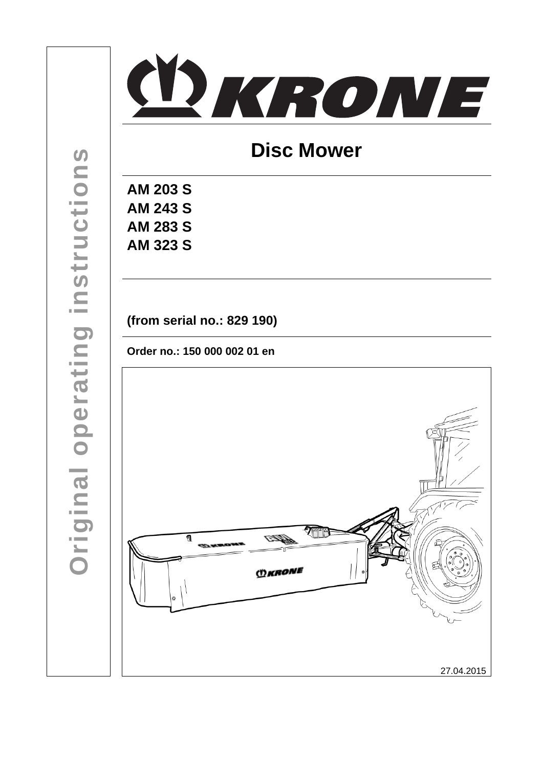

# **Disc Mower**

**AM 203 S AM 243 S AM 283 S AM 323 S** 

**(from serial no.: 829 190)** 

**Order no.: 150 000 002 01 en** 

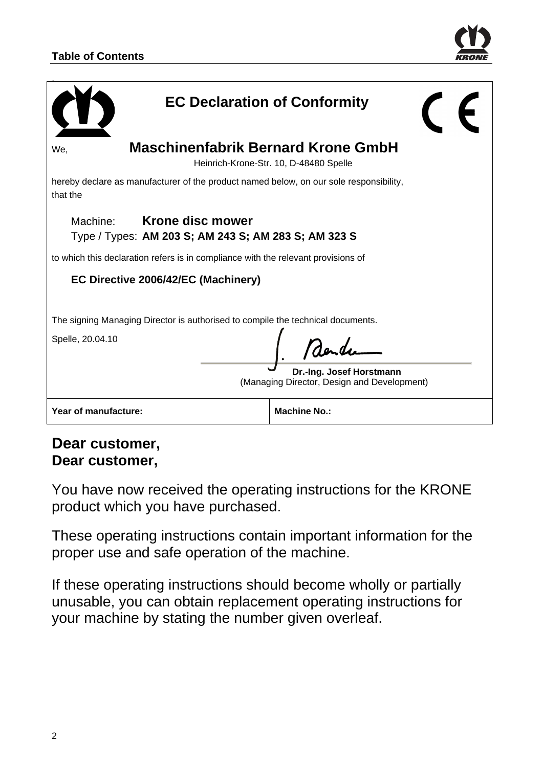

| <b>EC Declaration of Conformity</b>                                                                 |                                                                         |  |  |  |
|-----------------------------------------------------------------------------------------------------|-------------------------------------------------------------------------|--|--|--|
| <b>Maschinenfabrik Bernard Krone GmbH</b><br>We,                                                    | Heinrich-Krone-Str. 10, D-48480 Spelle                                  |  |  |  |
| hereby declare as manufacturer of the product named below, on our sole responsibility,<br>that the  |                                                                         |  |  |  |
| Krone disc mower<br>Machine:<br>Type / Types: AM 203 S; AM 243 S; AM 283 S; AM 323 S                |                                                                         |  |  |  |
| to which this declaration refers is in compliance with the relevant provisions of                   |                                                                         |  |  |  |
| EC Directive 2006/42/EC (Machinery)                                                                 |                                                                         |  |  |  |
| The signing Managing Director is authorised to compile the technical documents.<br>Spelle, 20.04.10 | Dr.-Ing. Josef Horstmann<br>(Managing Director, Design and Development) |  |  |  |
| Year of manufacture:                                                                                | <b>Machine No.:</b>                                                     |  |  |  |

# **Dear customer, Dear customer,**

You have now received the operating instructions for the KRONE product which you have purchased.

These operating instructions contain important information for the proper use and safe operation of the machine.

If these operating instructions should become wholly or partially unusable, you can obtain replacement operating instructions for your machine by stating the number given overleaf.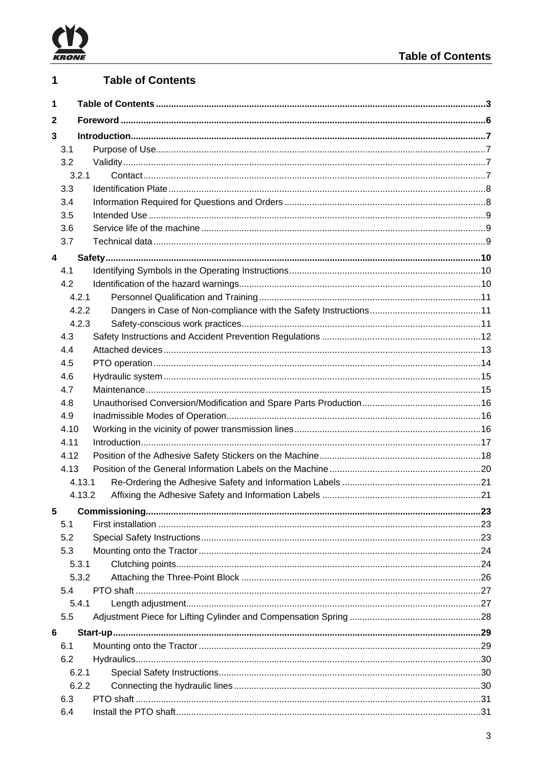

#### **Table of Contents**  $\overline{1}$

| 1                       |       |        |  |
|-------------------------|-------|--------|--|
| $\mathbf{2}$            |       |        |  |
| $\overline{3}$          |       |        |  |
|                         | 3.1   |        |  |
|                         | 3.2   |        |  |
|                         | 3.2.1 |        |  |
|                         | 3.3   |        |  |
|                         | 3.4   |        |  |
|                         | 3.5   |        |  |
|                         | 3.6   |        |  |
|                         | 3.7   |        |  |
| $\overline{\mathbf{4}}$ |       |        |  |
|                         | 4.1   |        |  |
|                         | 4.2   |        |  |
|                         | 4.2.1 |        |  |
|                         | 4.2.2 |        |  |
|                         | 4.2.3 |        |  |
|                         | 4.3   |        |  |
|                         | 4.4   |        |  |
|                         | 4.5   |        |  |
|                         | 4.6   |        |  |
|                         | 4.7   |        |  |
|                         | 4.8   |        |  |
|                         | 4.9   |        |  |
|                         | 4.10  |        |  |
|                         | 4.11  |        |  |
|                         | 4.12  |        |  |
|                         | 4.13  |        |  |
|                         |       | 4.13.1 |  |
|                         |       | 4.13.2 |  |
| 5                       |       |        |  |
|                         | 5.1   |        |  |
|                         | 5.2   |        |  |
|                         | 5.3   |        |  |
|                         | 5.3.1 |        |  |
|                         | 5.3.2 |        |  |
|                         | 5.4   |        |  |
|                         | 5.4.1 |        |  |
|                         | 5.5   |        |  |
| 6                       |       |        |  |
|                         | 6.1   |        |  |
|                         | 6.2   |        |  |
|                         | 6.2.1 |        |  |
|                         | 6.2.2 |        |  |
|                         | 6.3   |        |  |
|                         | 6.4   |        |  |
|                         |       |        |  |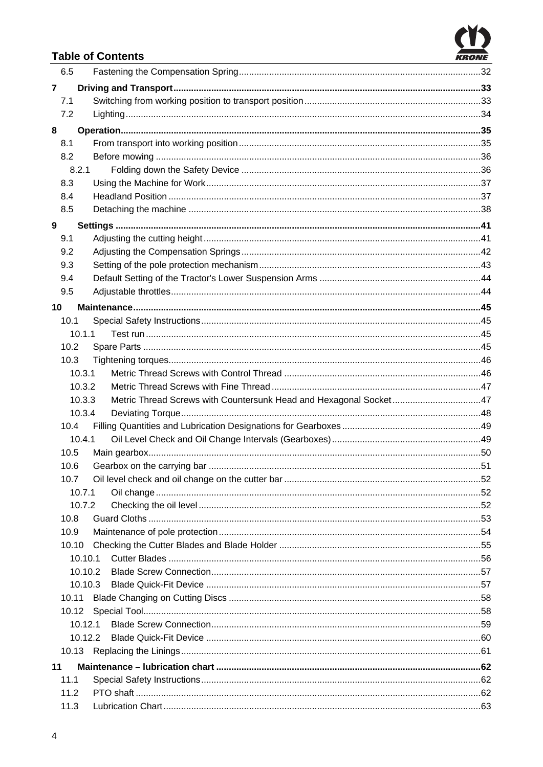# RONE

# **Table of Contents**

|                         | 6.5   |         |                                                                   |  |
|-------------------------|-------|---------|-------------------------------------------------------------------|--|
| $\overline{\mathbf{r}}$ |       |         |                                                                   |  |
|                         | 7.1   |         |                                                                   |  |
|                         | 7.2   |         |                                                                   |  |
| 8                       |       |         |                                                                   |  |
|                         | 8.1   |         |                                                                   |  |
|                         | 8.2   |         |                                                                   |  |
|                         |       | 8.2.1   |                                                                   |  |
|                         | 8.3   |         |                                                                   |  |
|                         | 8.4   |         |                                                                   |  |
|                         | 8.5   |         |                                                                   |  |
| 9                       |       |         |                                                                   |  |
|                         | 9.1   |         |                                                                   |  |
|                         | 9.2   |         |                                                                   |  |
|                         | 9.3   |         |                                                                   |  |
|                         | 9.4   |         |                                                                   |  |
|                         |       |         |                                                                   |  |
|                         | 9.5   |         |                                                                   |  |
| 10                      |       |         |                                                                   |  |
|                         | 10.1  |         |                                                                   |  |
|                         |       | 10.1.1  |                                                                   |  |
|                         | 10.2  |         |                                                                   |  |
|                         | 10.3  |         |                                                                   |  |
|                         |       | 10.3.1  |                                                                   |  |
|                         |       | 10.3.2  |                                                                   |  |
|                         |       | 10.3.3  | Metric Thread Screws with Countersunk Head and Hexagonal Socket47 |  |
|                         |       | 10.3.4  |                                                                   |  |
|                         | 10.4  |         |                                                                   |  |
|                         |       | 10.4.1  |                                                                   |  |
|                         | 10.5  |         |                                                                   |  |
|                         | 10.6  |         |                                                                   |  |
|                         | 10.7  |         |                                                                   |  |
|                         |       | 10.7.1  |                                                                   |  |
|                         |       | 10.7.2  |                                                                   |  |
|                         | 10.8  |         |                                                                   |  |
|                         | 10.9  |         |                                                                   |  |
|                         | 10.10 |         |                                                                   |  |
|                         |       | 10.10.1 |                                                                   |  |
|                         |       | 10.10.2 |                                                                   |  |
|                         |       | 10.10.3 |                                                                   |  |
|                         | 10.11 |         |                                                                   |  |
|                         | 10.12 |         |                                                                   |  |
|                         |       | 10.12.1 |                                                                   |  |
|                         |       | 10.12.2 |                                                                   |  |
|                         |       |         |                                                                   |  |
| 11                      |       |         |                                                                   |  |
|                         | 11.1  |         |                                                                   |  |
|                         | 11.2  |         |                                                                   |  |
|                         | 11.3  |         |                                                                   |  |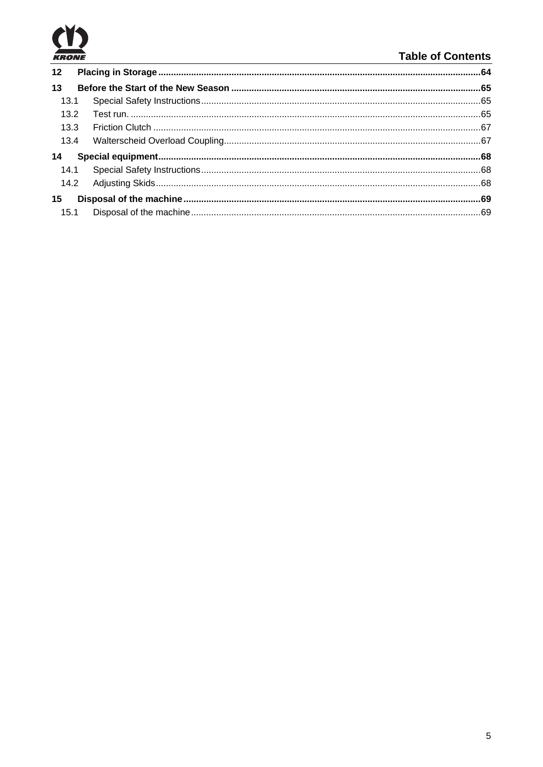

# **Table of Contents**

| 12 <sup>12</sup> |  |
|------------------|--|
| 13               |  |
| 13.1             |  |
| 13.2             |  |
| 13.3             |  |
| 13.4             |  |
| 14               |  |
| 14.1             |  |
| 14.2             |  |
| 15               |  |
| 15.1             |  |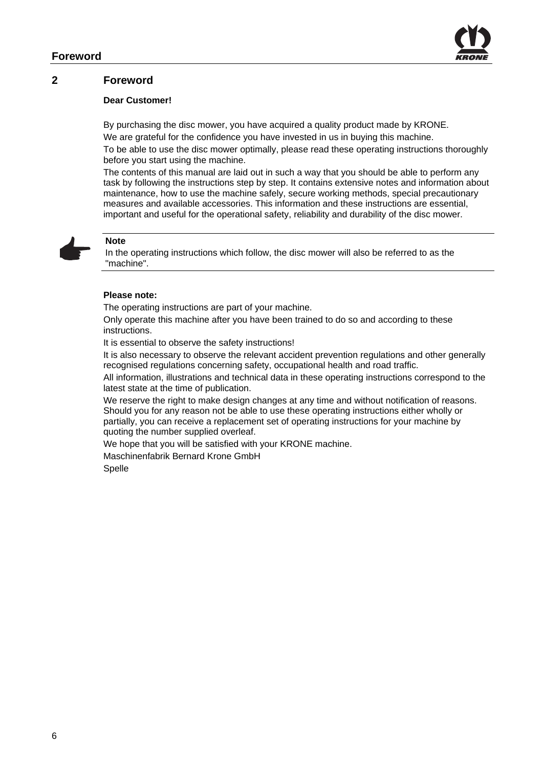

#### **2 Foreword**

#### **Dear Customer!**

By purchasing the disc mower, you have acquired a quality product made by KRONE. We are grateful for the confidence you have invested in us in buying this machine.

To be able to use the disc mower optimally, please read these operating instructions thoroughly before you start using the machine.

The contents of this manual are laid out in such a way that you should be able to perform any task by following the instructions step by step. It contains extensive notes and information about maintenance, how to use the machine safely, secure working methods, special precautionary measures and available accessories. This information and these instructions are essential, important and useful for the operational safety, reliability and durability of the disc mower.



#### **Note**

In the operating instructions which follow, the disc mower will also be referred to as the "machine".

#### **Please note:**

The operating instructions are part of your machine.

Only operate this machine after you have been trained to do so and according to these instructions.

It is essential to observe the safety instructions!

It is also necessary to observe the relevant accident prevention regulations and other generally recognised regulations concerning safety, occupational health and road traffic.

All information, illustrations and technical data in these operating instructions correspond to the latest state at the time of publication.

We reserve the right to make design changes at any time and without notification of reasons. Should you for any reason not be able to use these operating instructions either wholly or partially, you can receive a replacement set of operating instructions for your machine by quoting the number supplied overleaf.

We hope that you will be satisfied with your KRONE machine.

Maschinenfabrik Bernard Krone GmbH

Spelle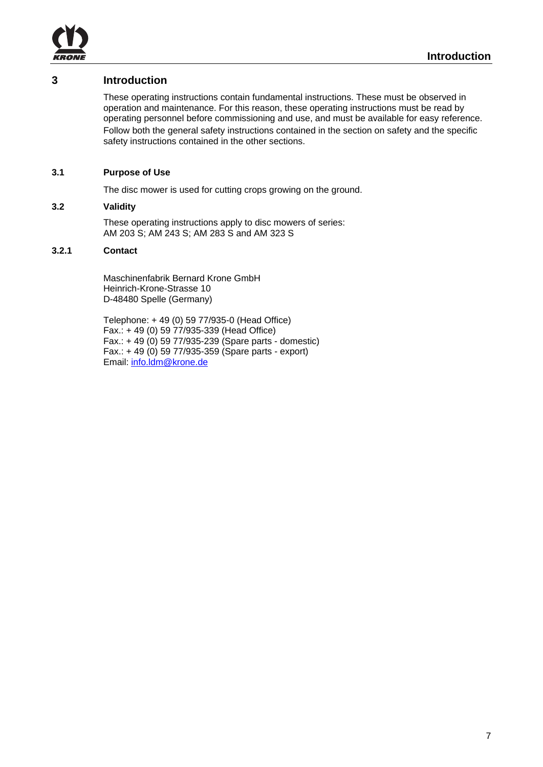

#### **3 Introduction**

These operating instructions contain fundamental instructions. These must be observed in operation and maintenance. For this reason, these operating instructions must be read by operating personnel before commissioning and use, and must be available for easy reference. Follow both the general safety instructions contained in the section on safety and the specific safety instructions contained in the other sections.

#### **3.1 Purpose of Use**

The disc mower is used for cutting crops growing on the ground.

#### **3.2 Validity**

These operating instructions apply to disc mowers of series: AM 203 S; AM 243 S; AM 283 S and AM 323 S

#### **3.2.1 Contact**

Maschinenfabrik Bernard Krone GmbH Heinrich-Krone-Strasse 10 D-48480 Spelle (Germany)

Telephone: + 49 (0) 59 77/935-0 (Head Office) Fax.: + 49 (0) 59 77/935-339 (Head Office) Fax.: + 49 (0) 59 77/935-239 (Spare parts - domestic) Fax.: + 49 (0) 59 77/935-359 (Spare parts - export) Email: info.ldm@krone.de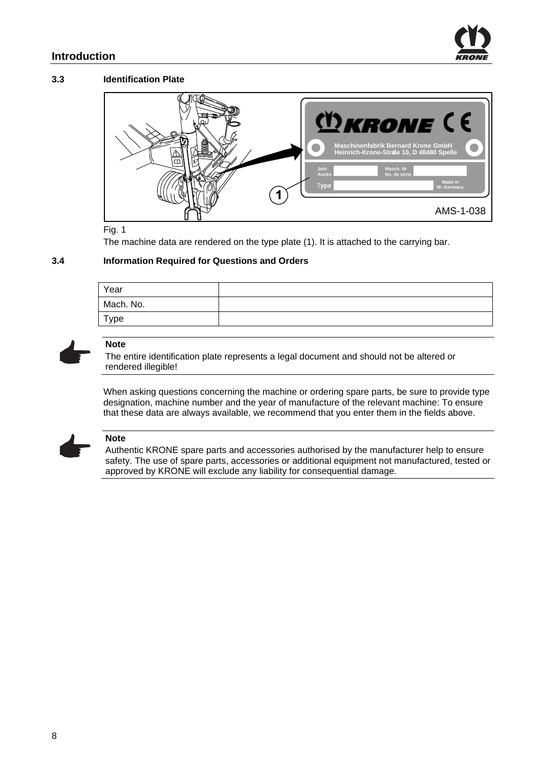

#### **3.3 Identification Plate**



#### Fig. 1

The machine data are rendered on the type plate (1). It is attached to the carrying bar.

#### **3.4 Information Required for Questions and Orders**

| Year      |  |
|-----------|--|
| Mach. No. |  |
| Type      |  |



#### **Note**

The entire identification plate represents a legal document and should not be altered or rendered illegible!

When asking questions concerning the machine or ordering spare parts, be sure to provide type designation, machine number and the year of manufacture of the relevant machine: To ensure that these data are always available, we recommend that you enter them in the fields above.



#### **Note**

Authentic KRONE spare parts and accessories authorised by the manufacturer help to ensure safety. The use of spare parts, accessories or additional equipment not manufactured, tested or approved by KRONE will exclude any liability for consequential damage.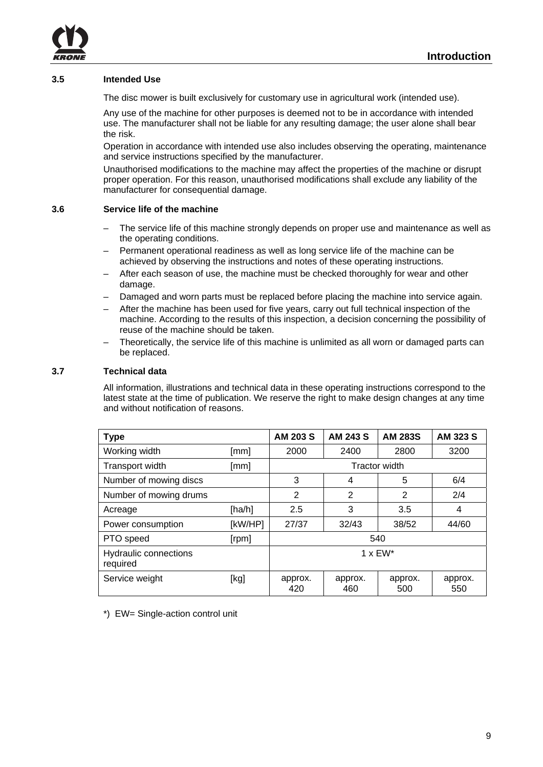

#### **3.5 Intended Use**

The disc mower is built exclusively for customary use in agricultural work (intended use).

Any use of the machine for other purposes is deemed not to be in accordance with intended use. The manufacturer shall not be liable for any resulting damage; the user alone shall bear the risk.

Operation in accordance with intended use also includes observing the operating, maintenance and service instructions specified by the manufacturer.

Unauthorised modifications to the machine may affect the properties of the machine or disrupt proper operation. For this reason, unauthorised modifications shall exclude any liability of the manufacturer for consequential damage.

#### **3.6 Service life of the machine**

- The service life of this machine strongly depends on proper use and maintenance as well as the operating conditions.
- Permanent operational readiness as well as long service life of the machine can be achieved by observing the instructions and notes of these operating instructions.
- After each season of use, the machine must be checked thoroughly for wear and other damage.
- Damaged and worn parts must be replaced before placing the machine into service again.
- After the machine has been used for five years, carry out full technical inspection of the machine. According to the results of this inspection, a decision concerning the possibility of reuse of the machine should be taken.
- Theoretically, the service life of this machine is unlimited as all worn or damaged parts can be replaced.

#### **3.7 Technical data**

All information, illustrations and technical data in these operating instructions correspond to the latest state at the time of publication. We reserve the right to make design changes at any time and without notification of reasons.

| <b>Type</b>                       |         | <b>AM 203 S</b> | <b>AM 243 S</b> | <b>AM 283S</b>       | AM 323 S       |
|-----------------------------------|---------|-----------------|-----------------|----------------------|----------------|
| Working width                     | [mm]    | 2000            | 2400            | 2800                 | 3200           |
| Transport width                   | [mm]    |                 |                 | <b>Tractor width</b> |                |
| Number of mowing discs            |         | 3               | 4               | 5                    | 6/4            |
| Number of mowing drums            |         | 2               | 2               | 2                    | 2/4            |
| Acreage                           | [ha/h]  | 2.5             | 3               | 3.5                  | 4              |
| Power consumption                 | [kW/HP] | 27/37           | 32/43           | 38/52                | 44/60          |
| PTO speed                         | [rpm]   |                 |                 | 540                  |                |
| Hydraulic connections<br>required |         |                 |                 | $1 \times EW^*$      |                |
| Service weight                    | [kg]    | approx.<br>420  | approx.<br>460  | approx.<br>500       | approx.<br>550 |

 $*$ ) EW= Single-action control unit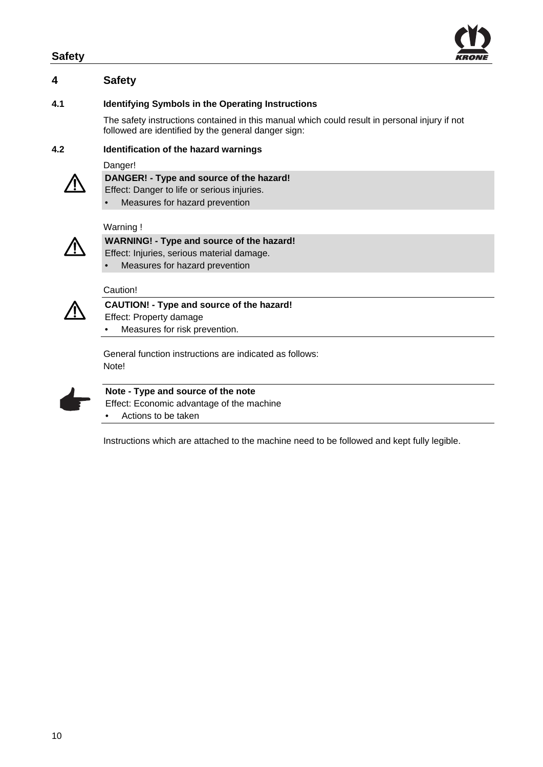#### **Safety**

## **4 Safety**

#### **4.1 Identifying Symbols in the Operating Instructions**

The safety instructions contained in this manual which could result in personal injury if not followed are identified by the general danger sign:

#### **4.2 Identification of the hazard warnings**

Danger!



# **DANGER! - Type and source of the hazard!**

- Effect: Danger to life or serious injuries.
- Measures for hazard prevention

#### Warning !



# **WARNING! - Type and source of the hazard!** Effect: Injuries, serious material damage.

• Measures for hazard prevention

#### Caution!



# **CAUTION! - Type and source of the hazard!** Effect: Property damage

• Measures for risk prevention.

General function instructions are indicated as follows: Note!



#### **Note - Type and source of the note**

Effect: Economic advantage of the machine

• Actions to be taken

Instructions which are attached to the machine need to be followed and kept fully legible.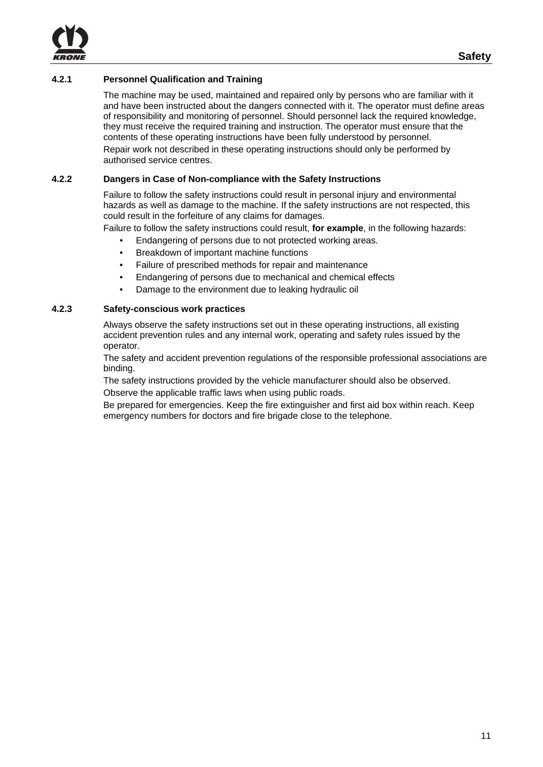

#### **4.2.1 Personnel Qualification and Training**

The machine may be used, maintained and repaired only by persons who are familiar with it and have been instructed about the dangers connected with it. The operator must define areas of responsibility and monitoring of personnel. Should personnel lack the required knowledge, they must receive the required training and instruction. The operator must ensure that the contents of these operating instructions have been fully understood by personnel. Repair work not described in these operating instructions should only be performed by authorised service centres.

#### **4.2.2 Dangers in Case of Non-compliance with the Safety Instructions**

Failure to follow the safety instructions could result in personal injury and environmental hazards as well as damage to the machine. If the safety instructions are not respected, this could result in the forfeiture of any claims for damages.

Failure to follow the safety instructions could result, **for example**, in the following hazards:

- Endangering of persons due to not protected working areas.
- Breakdown of important machine functions
- Failure of prescribed methods for repair and maintenance
- Endangering of persons due to mechanical and chemical effects
- Damage to the environment due to leaking hydraulic oil

#### **4.2.3 Safety-conscious work practices**

Always observe the safety instructions set out in these operating instructions, all existing accident prevention rules and any internal work, operating and safety rules issued by the operator.

The safety and accident prevention regulations of the responsible professional associations are binding.

The safety instructions provided by the vehicle manufacturer should also be observed. Observe the applicable traffic laws when using public roads.

Be prepared for emergencies. Keep the fire extinguisher and first aid box within reach. Keep emergency numbers for doctors and fire brigade close to the telephone.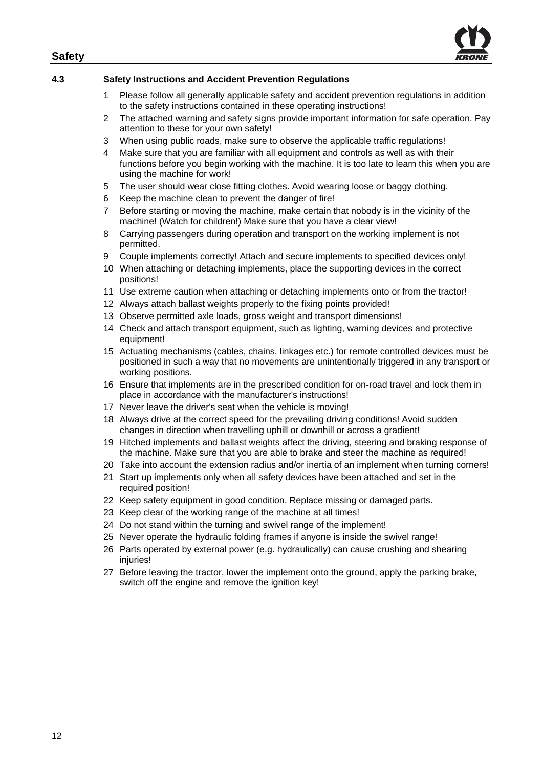

#### **4.3 Safety Instructions and Accident Prevention Regulations**

- Please follow all generally applicable safety and accident prevention regulations in addition to the safety instructions contained in these operating instructions!
- 2 The attached warning and safety signs provide important information for safe operation. Pay attention to these for your own safety!
- 3 When using public roads, make sure to observe the applicable traffic regulations!
- 4 Make sure that you are familiar with all equipment and controls as well as with their functions before you begin working with the machine. It is too late to learn this when you are using the machine for work!
- 5 The user should wear close fitting clothes. Avoid wearing loose or baggy clothing.
- 6 Keep the machine clean to prevent the danger of fire!
- 7 Before starting or moving the machine, make certain that nobody is in the vicinity of the machine! (Watch for children!) Make sure that you have a clear view!
- 8 Carrying passengers during operation and transport on the working implement is not permitted.
- 9 Couple implements correctly! Attach and secure implements to specified devices only!
- 10 When attaching or detaching implements, place the supporting devices in the correct positions!
- 11 Use extreme caution when attaching or detaching implements onto or from the tractor!
- 12 Always attach ballast weights properly to the fixing points provided!
- 13 Observe permitted axle loads, gross weight and transport dimensions!
- 14 Check and attach transport equipment, such as lighting, warning devices and protective equipment!
- 15 Actuating mechanisms (cables, chains, linkages etc.) for remote controlled devices must be positioned in such a way that no movements are unintentionally triggered in any transport or working positions.
- 16 Ensure that implements are in the prescribed condition for on-road travel and lock them in place in accordance with the manufacturer's instructions!
- 17 Never leave the driver's seat when the vehicle is moving!
- 18 Always drive at the correct speed for the prevailing driving conditions! Avoid sudden changes in direction when travelling uphill or downhill or across a gradient!
- 19 Hitched implements and ballast weights affect the driving, steering and braking response of the machine. Make sure that you are able to brake and steer the machine as required!
- 20 Take into account the extension radius and/or inertia of an implement when turning corners!
- 21 Start up implements only when all safety devices have been attached and set in the required position!
- 22 Keep safety equipment in good condition. Replace missing or damaged parts.
- 23 Keep clear of the working range of the machine at all times!
- 24 Do not stand within the turning and swivel range of the implement!
- 25 Never operate the hydraulic folding frames if anyone is inside the swivel range!
- 26 Parts operated by external power (e.g. hydraulically) can cause crushing and shearing iniuries!
- 27 Before leaving the tractor, lower the implement onto the ground, apply the parking brake, switch off the engine and remove the ignition key!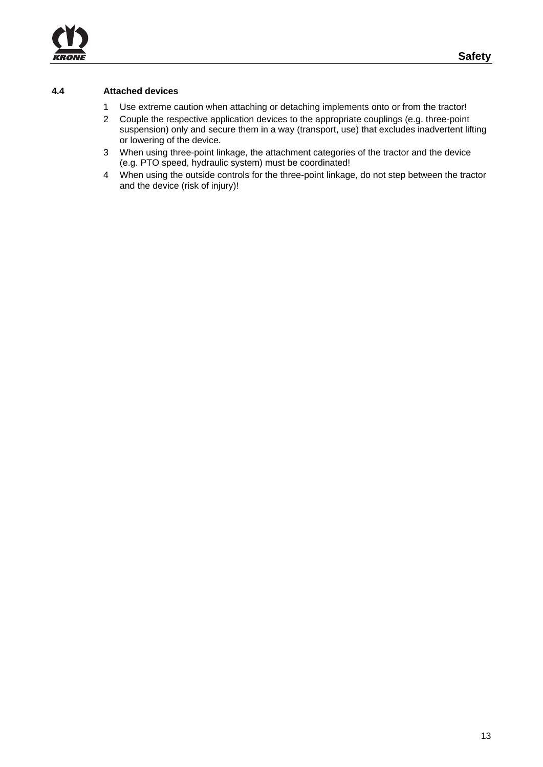

#### **4.4 Attached devices**

- 1 Use extreme caution when attaching or detaching implements onto or from the tractor!
- 2 Couple the respective application devices to the appropriate couplings (e.g. three-point suspension) only and secure them in a way (transport, use) that excludes inadvertent lifting or lowering of the device.
- 3 When using three-point linkage, the attachment categories of the tractor and the device (e.g. PTO speed, hydraulic system) must be coordinated!
- 4 When using the outside controls for the three-point linkage, do not step between the tractor and the device (risk of injury)!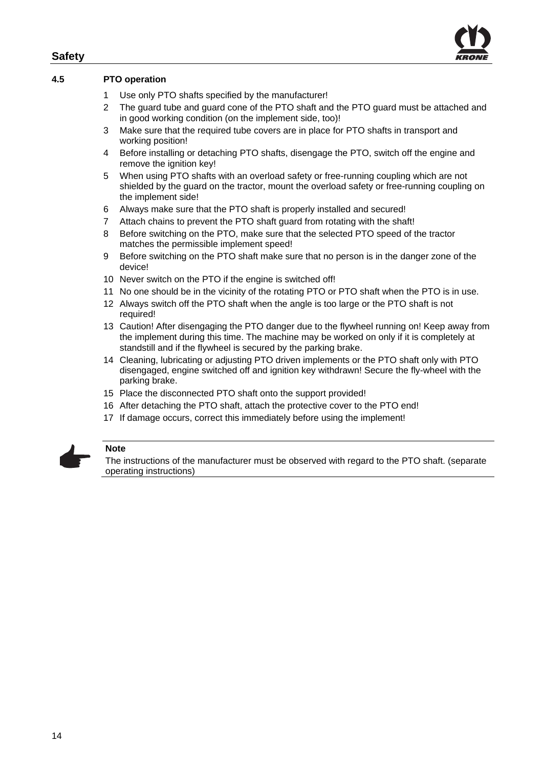

#### **4.5 PTO operation**

- 1 Use only PTO shafts specified by the manufacturer!
- 2 The guard tube and guard cone of the PTO shaft and the PTO guard must be attached and in good working condition (on the implement side, too)!
- 3 Make sure that the required tube covers are in place for PTO shafts in transport and working position!
- 4 Before installing or detaching PTO shafts, disengage the PTO, switch off the engine and remove the ignition key!
- 5 When using PTO shafts with an overload safety or free-running coupling which are not shielded by the guard on the tractor, mount the overload safety or free-running coupling on the implement side!
- 6 Always make sure that the PTO shaft is properly installed and secured!
- 7 Attach chains to prevent the PTO shaft guard from rotating with the shaft!
- 8 Before switching on the PTO, make sure that the selected PTO speed of the tractor matches the permissible implement speed!
- 9 Before switching on the PTO shaft make sure that no person is in the danger zone of the device!
- 10 Never switch on the PTO if the engine is switched off!
- 11 No one should be in the vicinity of the rotating PTO or PTO shaft when the PTO is in use.
- 12 Always switch off the PTO shaft when the angle is too large or the PTO shaft is not required!
- 13 Caution! After disengaging the PTO danger due to the flywheel running on! Keep away from the implement during this time. The machine may be worked on only if it is completely at standstill and if the flywheel is secured by the parking brake.
- 14 Cleaning, lubricating or adjusting PTO driven implements or the PTO shaft only with PTO disengaged, engine switched off and ignition key withdrawn! Secure the fly-wheel with the parking brake.
- 15 Place the disconnected PTO shaft onto the support provided!
- 16 After detaching the PTO shaft, attach the protective cover to the PTO end!
- 17 If damage occurs, correct this immediately before using the implement!



#### **Note**

The instructions of the manufacturer must be observed with regard to the PTO shaft. (separate operating instructions)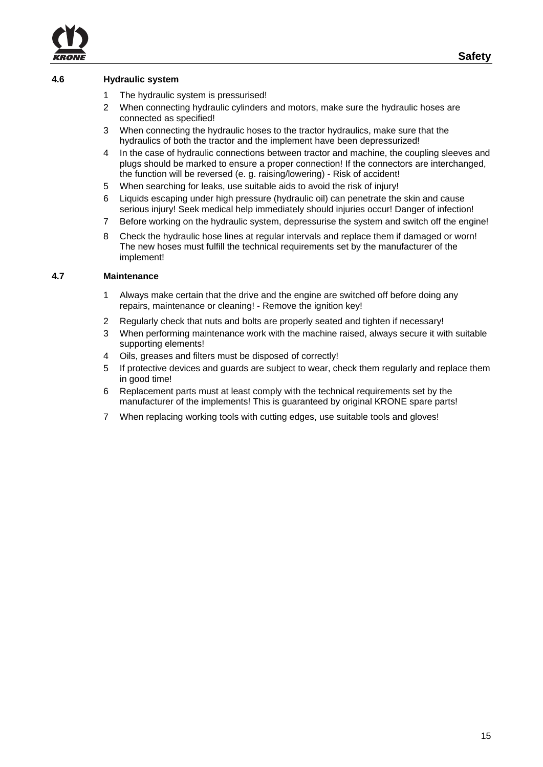

#### **4.6 Hydraulic system**

- 1 The hydraulic system is pressurised!
- 2 When connecting hydraulic cylinders and motors, make sure the hydraulic hoses are connected as specified!
- 3 When connecting the hydraulic hoses to the tractor hydraulics, make sure that the hydraulics of both the tractor and the implement have been depressurized!
- 4 In the case of hydraulic connections between tractor and machine, the coupling sleeves and plugs should be marked to ensure a proper connection! If the connectors are interchanged, the function will be reversed (e. g. raising/lowering) - Risk of accident!
- 5 When searching for leaks, use suitable aids to avoid the risk of injury!
- 6 Liquids escaping under high pressure (hydraulic oil) can penetrate the skin and cause serious injury! Seek medical help immediately should injuries occur! Danger of infection!
- 7 Before working on the hydraulic system, depressurise the system and switch off the engine!
- 8 Check the hydraulic hose lines at regular intervals and replace them if damaged or worn! The new hoses must fulfill the technical requirements set by the manufacturer of the implement!

#### **4.7 Maintenance**

- 1 Always make certain that the drive and the engine are switched off before doing any repairs, maintenance or cleaning! - Remove the ignition key!
- 2 Regularly check that nuts and bolts are properly seated and tighten if necessary!
- 3 When performing maintenance work with the machine raised, always secure it with suitable supporting elements!
- 4 Oils, greases and filters must be disposed of correctly!
- 5 If protective devices and guards are subject to wear, check them regularly and replace them in good time!
- 6 Replacement parts must at least comply with the technical requirements set by the manufacturer of the implements! This is guaranteed by original KRONE spare parts!
- 7 When replacing working tools with cutting edges, use suitable tools and gloves!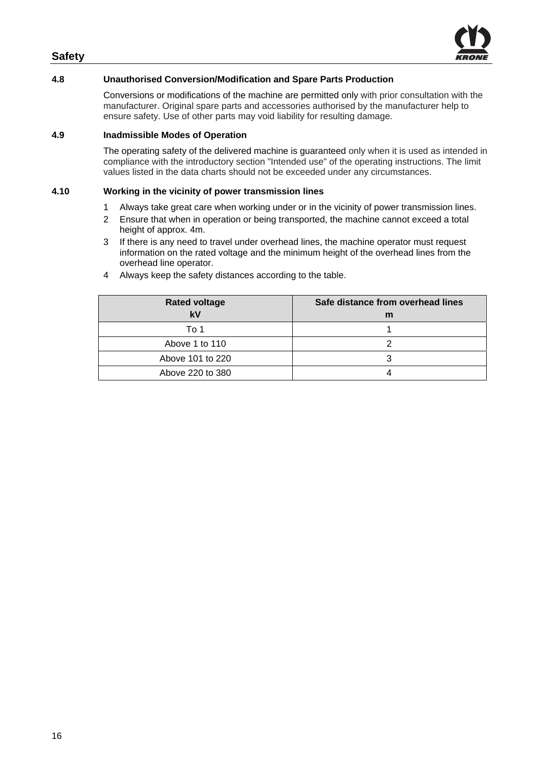

#### **4.8 Unauthorised Conversion/Modification and Spare Parts Production**

Conversions or modifications of the machine are permitted only with prior consultation with the manufacturer. Original spare parts and accessories authorised by the manufacturer help to ensure safety. Use of other parts may void liability for resulting damage.

#### **4.9 Inadmissible Modes of Operation**

The operating safety of the delivered machine is guaranteed only when it is used as intended in compliance with the introductory section "Intended use" of the operating instructions. The limit values listed in the data charts should not be exceeded under any circumstances.

#### **4.10 Working in the vicinity of power transmission lines**

- 1 Always take great care when working under or in the vicinity of power transmission lines.
- 2 Ensure that when in operation or being transported, the machine cannot exceed a total height of approx. 4m.
- 3 If there is any need to travel under overhead lines, the machine operator must request information on the rated voltage and the minimum height of the overhead lines from the overhead line operator.

| <b>Rated voltage</b><br>kV | Safe distance from overhead lines<br>m |
|----------------------------|----------------------------------------|
| To 1                       |                                        |
| Above 1 to 110             |                                        |
| Above 101 to 220           |                                        |
| Above 220 to 380           |                                        |

4 Always keep the safety distances according to the table.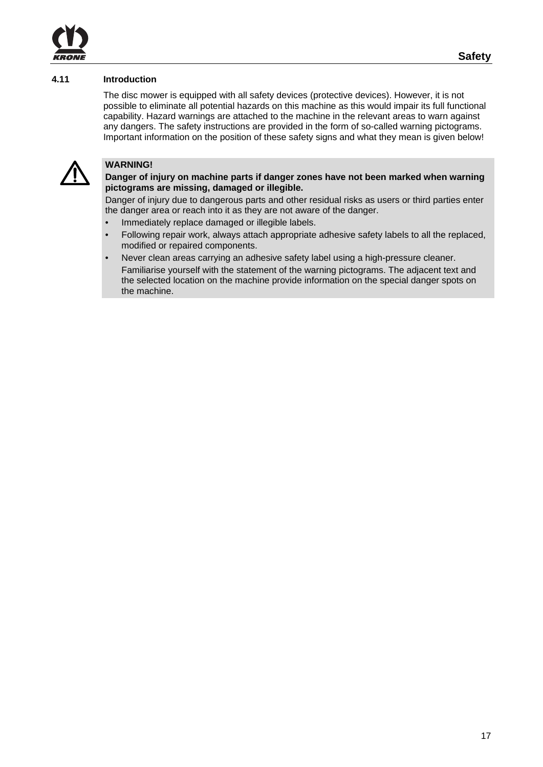

#### **4.11 Introduction**

The disc mower is equipped with all safety devices (protective devices). However, it is not possible to eliminate all potential hazards on this machine as this would impair its full functional capability. Hazard warnings are attached to the machine in the relevant areas to warn against any dangers. The safety instructions are provided in the form of so-called warning pictograms. Important information on the position of these safety signs and what they mean is given below!



#### **WARNING!**

#### **Danger of injury on machine parts if danger zones have not been marked when warning pictograms are missing, damaged or illegible.**

Danger of injury due to dangerous parts and other residual risks as users or third parties enter the danger area or reach into it as they are not aware of the danger.

- Immediately replace damaged or illegible labels.
- Following repair work, always attach appropriate adhesive safety labels to all the replaced, modified or repaired components.
- Never clean areas carrying an adhesive safety label using a high-pressure cleaner. Familiarise yourself with the statement of the warning pictograms. The adjacent text and the selected location on the machine provide information on the special danger spots on the machine.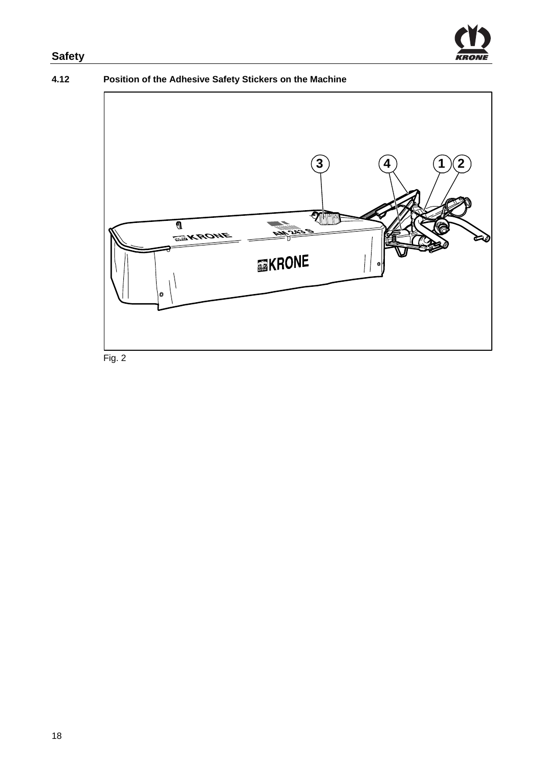

# **4.12 Position of the Adhesive Safety Stickers on the Machine**



Fig. 2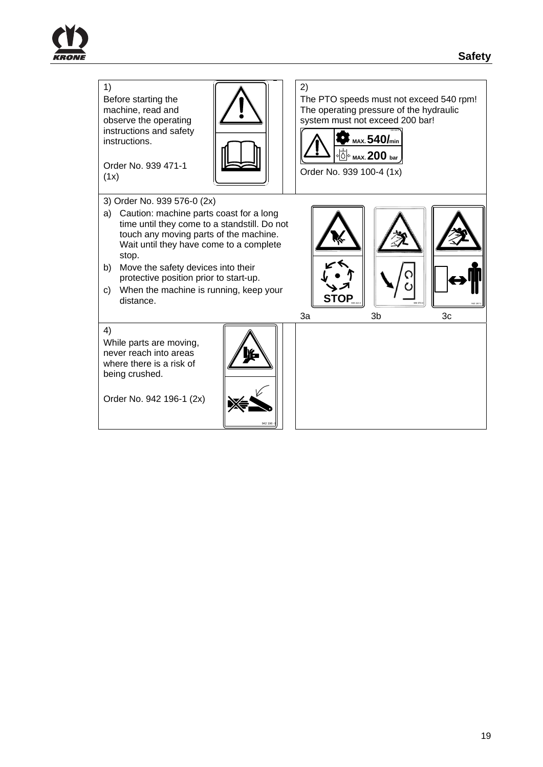



942 196 -1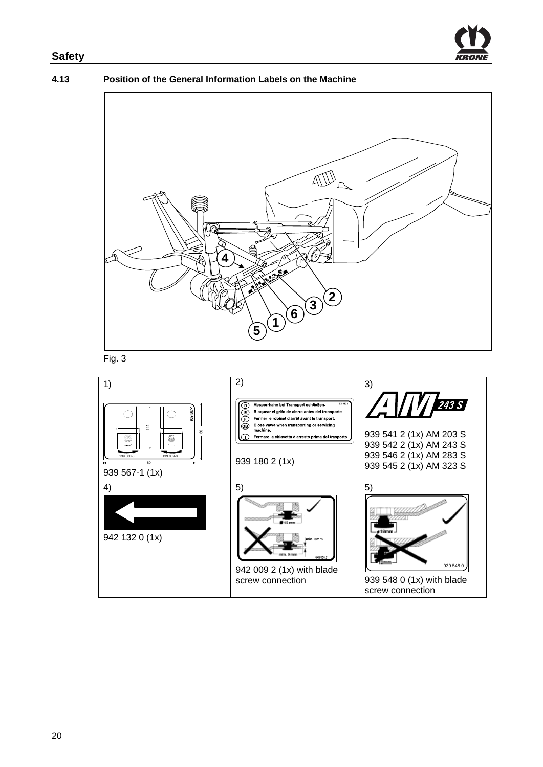

#### **4.13 Position of the General Information Labels on the Machine**



Fig. 3

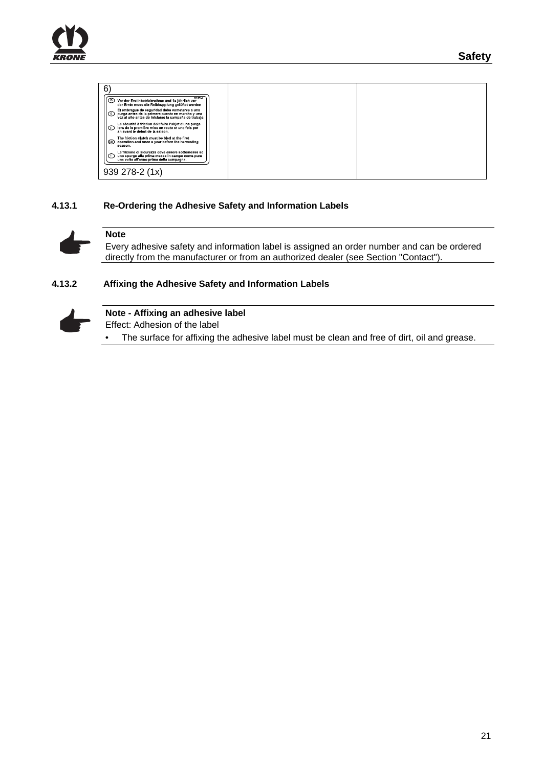

| 109.223.2<br>(D) Vor der Erstinbetriebnahme und 1x jährlich vor<br>der Ernte muss die Reibkupplung gelüftet werden                                       |  |
|----------------------------------------------------------------------------------------------------------------------------------------------------------|--|
| El embrague de seguridad debe someterse a una<br>Durga antes de la primera puesta en marcha y una<br>vez al año antes de iniciarse la campaña de trabajo |  |
| La sécurité à friction doit faire l'objet d'une purge<br>lors de la première mise en route et une fois par<br>LCED.<br>an avant le début de la saison.   |  |
| The friction clutch must be bled at the first<br>I @D<br>operation and once a year before the harvesting<br>season.                                      |  |
| La frizione di sicurezza deve essere sottomessa ad<br>uno spurgo alla prima messa in campo come pure<br>una volta all'anno prima della campagna.         |  |
| $939278-2(1x)$                                                                                                                                           |  |

#### **4.13.1 Re-Ordering the Adhesive Safety and Information Labels**



# **Note**

Every adhesive safety and information label is assigned an order number and can be ordered directly from the manufacturer or from an authorized dealer (see Section "Contact").

#### **4.13.2 Affixing the Adhesive Safety and Information Labels**



# **Note - Affixing an adhesive label**

Effect: Adhesion of the label

The surface for affixing the adhesive label must be clean and free of dirt, oil and grease.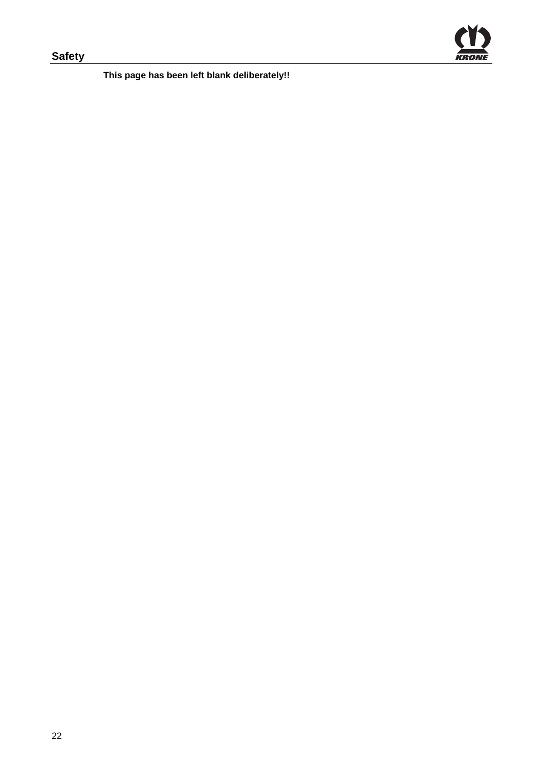

**This page has been left blank deliberately!!**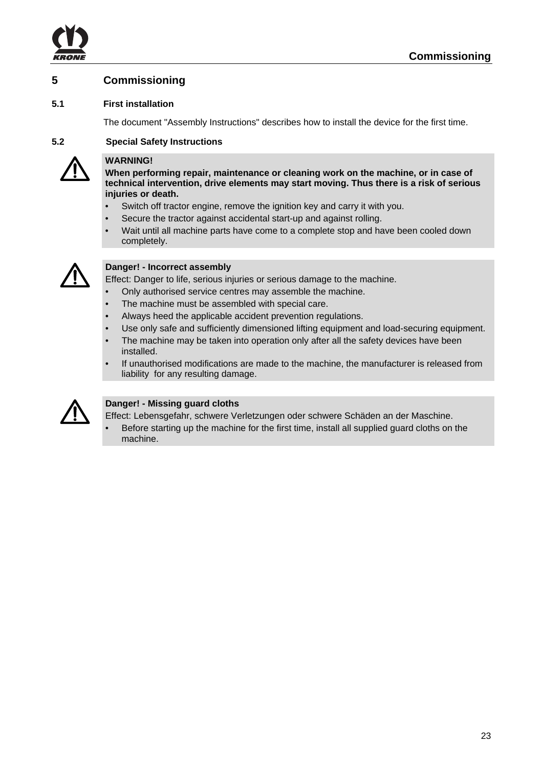

# **5 Commissioning**

#### **5.1 First installation**

The document "Assembly Instructions" describes how to install the device for the first time.

#### **5.2 Special Safety Instructions**



#### **WARNING!**

**When performing repair, maintenance or cleaning work on the machine, or in case of technical intervention, drive elements may start moving. Thus there is a risk of serious injuries or death.** 

- Switch off tractor engine, remove the ignition key and carry it with you.
- Secure the tractor against accidental start-up and against rolling.
- Wait until all machine parts have come to a complete stop and have been cooled down completely.



#### **Danger! - Incorrect assembly**

Effect: Danger to life, serious injuries or serious damage to the machine.

- Only authorised service centres may assemble the machine.
- The machine must be assembled with special care.
- Always heed the applicable accident prevention regulations.
- Use only safe and sufficiently dimensioned lifting equipment and load-securing equipment.
- The machine may be taken into operation only after all the safety devices have been installed.
- If unauthorised modifications are made to the machine, the manufacturer is released from liability for any resulting damage.



#### **Danger! - Missing guard cloths**

Effect: Lebensgefahr, schwere Verletzungen oder schwere Schäden an der Maschine.

• Before starting up the machine for the first time, install all supplied guard cloths on the machine.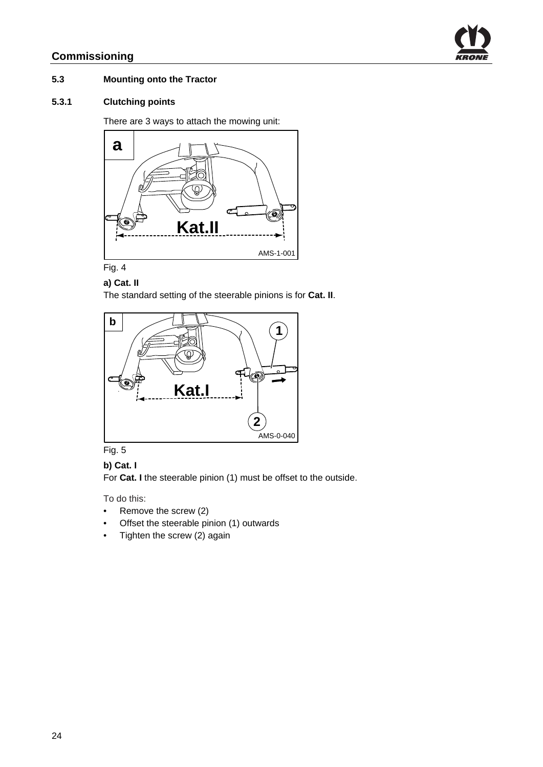# **Commissioning**



#### **5.3 Mounting onto the Tractor**

#### **5.3.1 Clutching points**

There are 3 ways to attach the mowing unit:



# $Fig. 4$

#### **a) Cat. II**

The standard setting of the steerable pinions is for **Cat. II**.



## $Fig. 5$

#### **b) Cat. I**

For **Cat. I** the steerable pinion (1) must be offset to the outside.

To do this:

- Remove the screw (2)
- Offset the steerable pinion (1) outwards
- Tighten the screw (2) again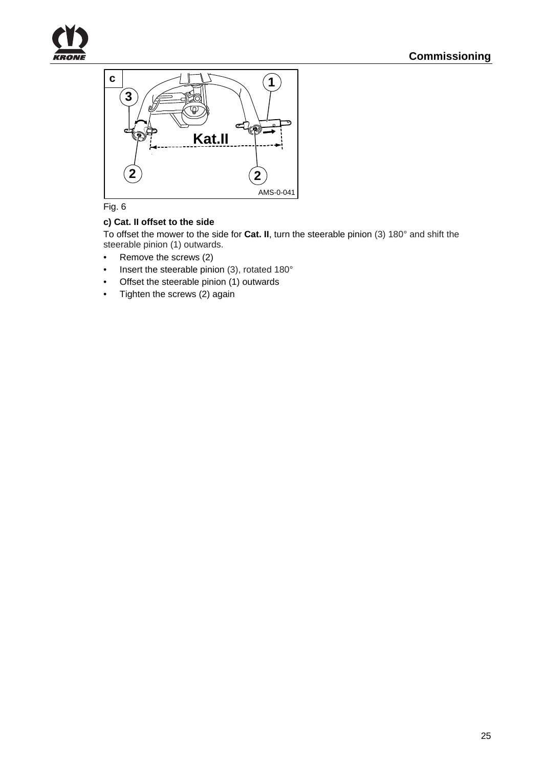





#### **c) Cat. II offset to the side**

To offset the mower to the side for **Cat. II**, turn the steerable pinion (3) 180° and shift the steerable pinion (1) outwards.

- Remove the screws (2)
- Insert the steerable pinion (3), rotated 180°
- Offset the steerable pinion (1) outwards
- Tighten the screws (2) again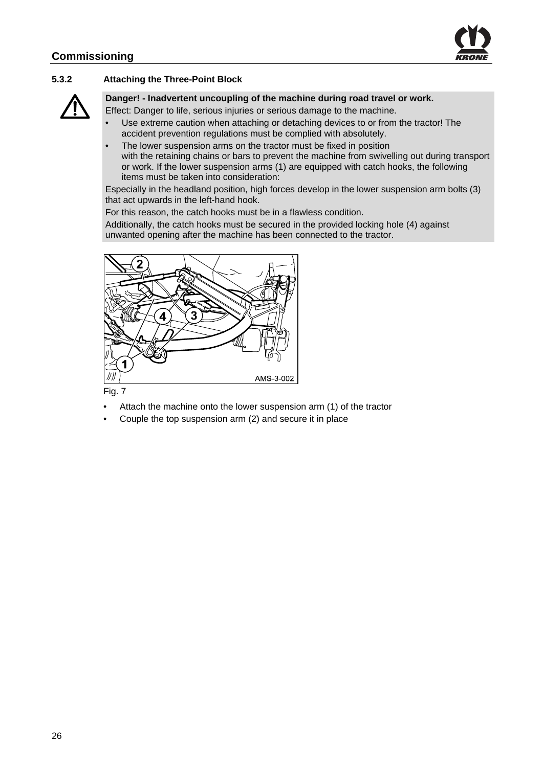

#### **5.3.2 Attaching the Three-Point Block**



#### **Danger! - Inadvertent uncoupling of the machine during road travel or work.**

Effect: Danger to life, serious injuries or serious damage to the machine.

- Use extreme caution when attaching or detaching devices to or from the tractor! The accident prevention regulations must be complied with absolutely.
- The lower suspension arms on the tractor must be fixed in position with the retaining chains or bars to prevent the machine from swivelling out during transport or work. If the lower suspension arms (1) are equipped with catch hooks, the following items must be taken into consideration:

Especially in the headland position, high forces develop in the lower suspension arm bolts (3) that act upwards in the left-hand hook.

For this reason, the catch hooks must be in a flawless condition.

Additionally, the catch hooks must be secured in the provided locking hole (4) against unwanted opening after the machine has been connected to the tractor.



Fig. 7

- Attach the machine onto the lower suspension arm (1) of the tractor
- Couple the top suspension arm (2) and secure it in place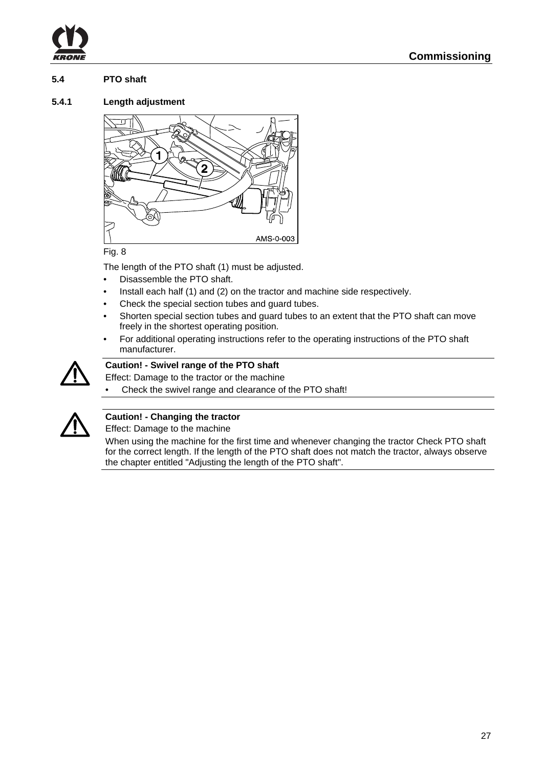



**5.4 PTO shaft** 

#### **5.4.1 Length adjustment**



Fig. 8

The length of the PTO shaft (1) must be adjusted.

- Disassemble the PTO shaft.
- Install each half (1) and (2) on the tractor and machine side respectively.
- Check the special section tubes and guard tubes.
- Shorten special section tubes and guard tubes to an extent that the PTO shaft can move freely in the shortest operating position.
- For additional operating instructions refer to the operating instructions of the PTO shaft manufacturer.



#### **Caution! - Swivel range of the PTO shaft**

Effect: Damage to the tractor or the machine

• Check the swivel range and clearance of the PTO shaft!



#### **Caution! - Changing the tractor**

Effect: Damage to the machine

When using the machine for the first time and whenever changing the tractor Check PTO shaft for the correct length. If the length of the PTO shaft does not match the tractor, always observe the chapter entitled "Adjusting the length of the PTO shaft".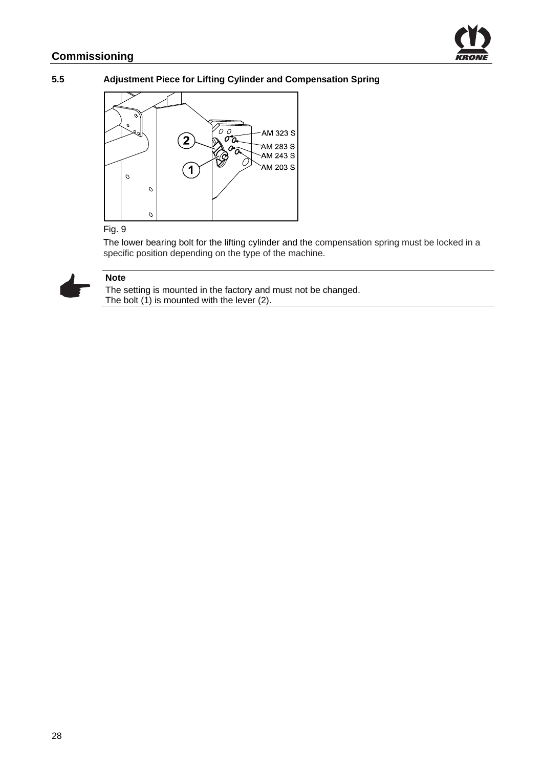

#### **5.5 Adjustment Piece for Lifting Cylinder and Compensation Spring**



#### Fig. 9

The lower bearing bolt for the lifting cylinder and the compensation spring must be locked in a specific position depending on the type of the machine.



# **Note**

The setting is mounted in the factory and must not be changed. The bolt  $(1)$  is mounted with the lever  $(2)$ .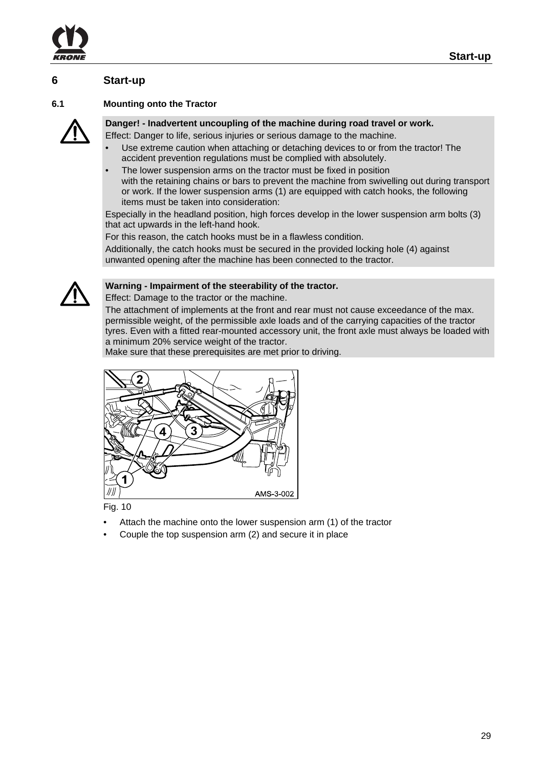

# **6 Start-up**

#### **6.1 Mounting onto the Tractor**



**Danger! - Inadvertent uncoupling of the machine during road travel or work.** 

Effect: Danger to life, serious injuries or serious damage to the machine.

- Use extreme caution when attaching or detaching devices to or from the tractor! The accident prevention regulations must be complied with absolutely.
- The lower suspension arms on the tractor must be fixed in position with the retaining chains or bars to prevent the machine from swivelling out during transport or work. If the lower suspension arms (1) are equipped with catch hooks, the following items must be taken into consideration:

Especially in the headland position, high forces develop in the lower suspension arm bolts (3) that act upwards in the left-hand hook.

For this reason, the catch hooks must be in a flawless condition.

Additionally, the catch hooks must be secured in the provided locking hole (4) against unwanted opening after the machine has been connected to the tractor.



#### **Warning - Impairment of the steerability of the tractor.**

Effect: Damage to the tractor or the machine.

The attachment of implements at the front and rear must not cause exceedance of the max. permissible weight, of the permissible axle loads and of the carrying capacities of the tractor tyres. Even with a fitted rear-mounted accessory unit, the front axle must always be loaded with a minimum 20% service weight of the tractor.

Make sure that these prerequisites are met prior to driving.



Fig. 10

- Attach the machine onto the lower suspension arm (1) of the tractor
- Couple the top suspension arm (2) and secure it in place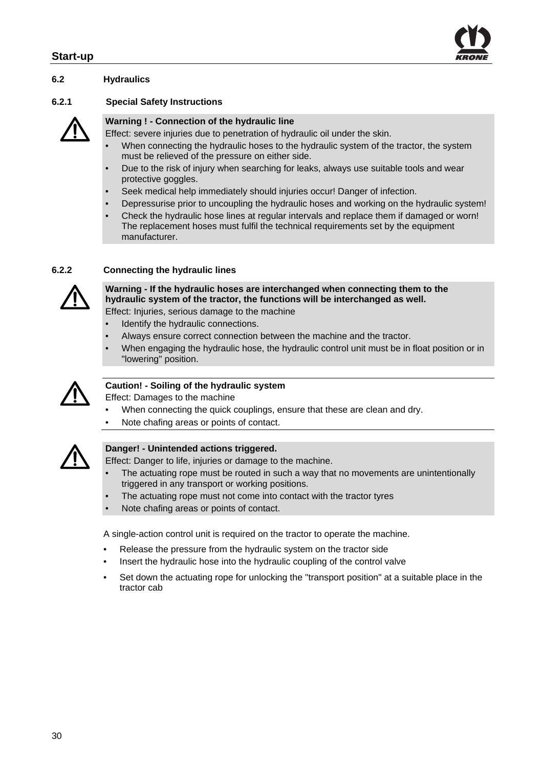

#### **6.2 Hydraulics**

#### **6.2.1 Special Safety Instructions**

#### **Warning ! - Connection of the hydraulic line**

Effect: severe injuries due to penetration of hydraulic oil under the skin.

- When connecting the hydraulic hoses to the hydraulic system of the tractor, the system must be relieved of the pressure on either side.
- Due to the risk of injury when searching for leaks, always use suitable tools and wear protective goggles.
- Seek medical help immediately should injuries occur! Danger of infection.
- Depressurise prior to uncoupling the hydraulic hoses and working on the hydraulic system!
- Check the hydraulic hose lines at regular intervals and replace them if damaged or worn! The replacement hoses must fulfil the technical requirements set by the equipment manufacturer.

#### **6.2.2 Connecting the hydraulic lines**



**Warning - If the hydraulic hoses are interchanged when connecting them to the hydraulic system of the tractor, the functions will be interchanged as well.** 

Effect: Injuries, serious damage to the machine

- Identify the hydraulic connections.
- Always ensure correct connection between the machine and the tractor.
- When engaging the hydraulic hose, the hydraulic control unit must be in float position or in "lowering" position.



#### **Caution! - Soiling of the hydraulic system**

Effect: Damages to the machine

- When connecting the quick couplings, ensure that these are clean and dry.
- Note chafing areas or points of contact.



#### **Danger! - Unintended actions triggered.**

Effect: Danger to life, injuries or damage to the machine.

- The actuating rope must be routed in such a way that no movements are unintentionally triggered in any transport or working positions.
- The actuating rope must not come into contact with the tractor tyres
- Note chafing areas or points of contact.

A single-action control unit is required on the tractor to operate the machine.

- Release the pressure from the hydraulic system on the tractor side
- Insert the hydraulic hose into the hydraulic coupling of the control valve
- Set down the actuating rope for unlocking the "transport position" at a suitable place in the tractor cab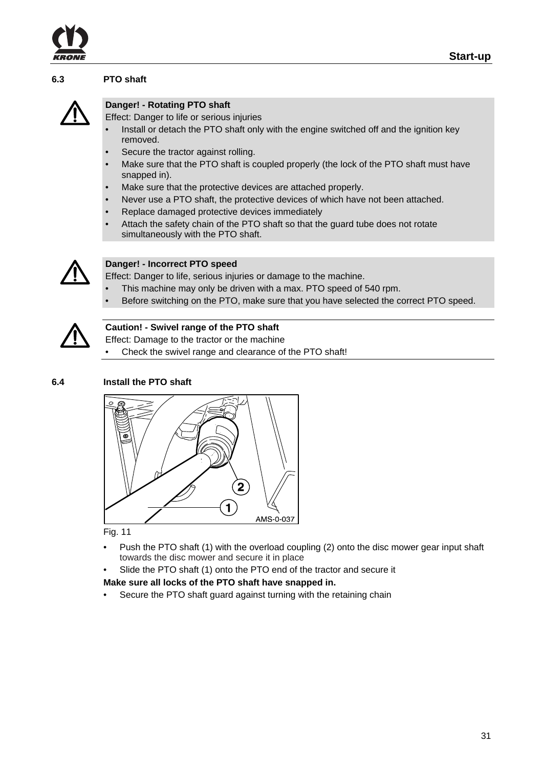

#### **6.3 PTO shaft**



#### **Danger! - Rotating PTO shaft**

Effect: Danger to life or serious injuries

- Install or detach the PTO shaft only with the engine switched off and the ignition key removed.
- Secure the tractor against rolling.
- Make sure that the PTO shaft is coupled properly (the lock of the PTO shaft must have snapped in).
- Make sure that the protective devices are attached properly.
- Never use a PTO shaft, the protective devices of which have not been attached.
- Replace damaged protective devices immediately
- Attach the safety chain of the PTO shaft so that the guard tube does not rotate simultaneously with the PTO shaft.



#### **Danger! - Incorrect PTO speed**

Effect: Danger to life, serious injuries or damage to the machine.

- This machine may only be driven with a max. PTO speed of 540 rpm.
- Before switching on the PTO, make sure that you have selected the correct PTO speed.



#### **Caution! - Swivel range of the PTO shaft**

Effect: Damage to the tractor or the machine

• Check the swivel range and clearance of the PTO shaft!

#### **6.4 Install the PTO shaft**



#### Fig. 11

- Push the PTO shaft (1) with the overload coupling (2) onto the disc mower gear input shaft towards the disc mower and secure it in place
- Slide the PTO shaft (1) onto the PTO end of the tractor and secure it

#### **Make sure all locks of the PTO shaft have snapped in.**

Secure the PTO shaft guard against turning with the retaining chain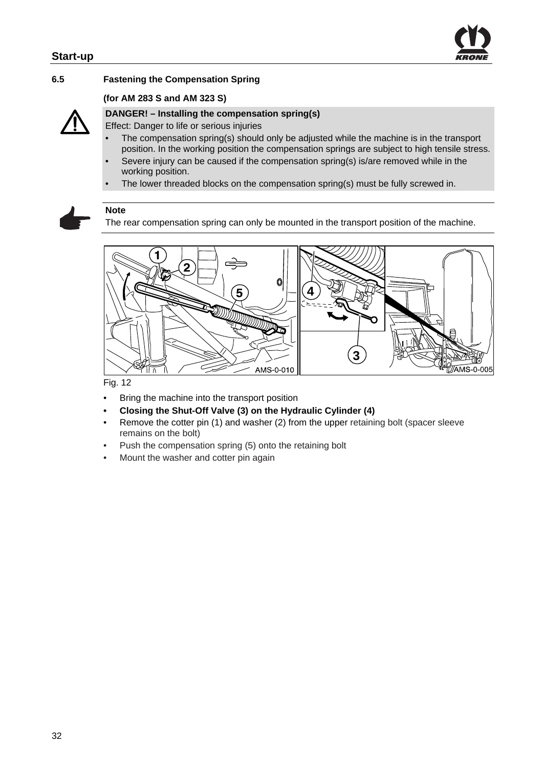

#### **6.5 Fastening the Compensation Spring**

#### **(for AM 283 S and AM 323 S)**

#### **DANGER! – Installing the compensation spring(s)**

Effect: Danger to life or serious injuries

- The compensation spring(s) should only be adjusted while the machine is in the transport position. In the working position the compensation springs are subject to high tensile stress.
- Severe injury can be caused if the compensation spring(s) is/are removed while in the working position.
- The lower threaded blocks on the compensation spring(s) must be fully screwed in.



#### **Note**

The rear compensation spring can only be mounted in the transport position of the machine.



Fig. 12

- Bring the machine into the transport position
- **Closing the Shut-Off Valve (3) on the Hydraulic Cylinder (4)**
- Remove the cotter pin (1) and washer (2) from the upper retaining bolt (spacer sleeve remains on the bolt)
- Push the compensation spring (5) onto the retaining bolt
- Mount the washer and cotter pin again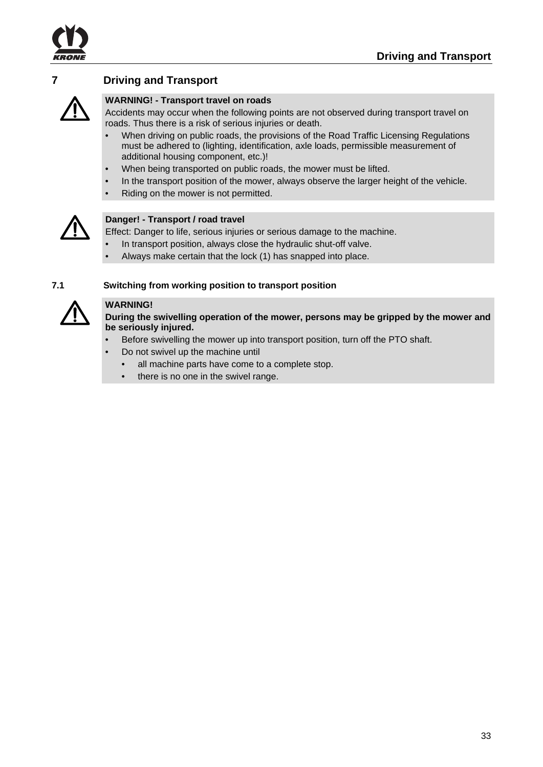

# **7 Driving and Transport**



#### **WARNING! - Transport travel on roads**

Accidents may occur when the following points are not observed during transport travel on roads. Thus there is a risk of serious injuries or death.

- When driving on public roads, the provisions of the Road Traffic Licensing Regulations must be adhered to (lighting, identification, axle loads, permissible measurement of additional housing component, etc.)!
- When being transported on public roads, the mower must be lifted.
- In the transport position of the mower, always observe the larger height of the vehicle.
- Riding on the mower is not permitted.



#### **Danger! - Transport / road travel**

Effect: Danger to life, serious injuries or serious damage to the machine.

- In transport position, always close the hydraulic shut-off valve.
- Always make certain that the lock (1) has snapped into place.

#### **7.1 Switching from working position to transport position**



#### **WARNING!**

**During the swivelling operation of the mower, persons may be gripped by the mower and be seriously injured.** 

- Before swivelling the mower up into transport position, turn off the PTO shaft.
- Do not swivel up the machine until
	- all machine parts have come to a complete stop.
		- there is no one in the swivel range.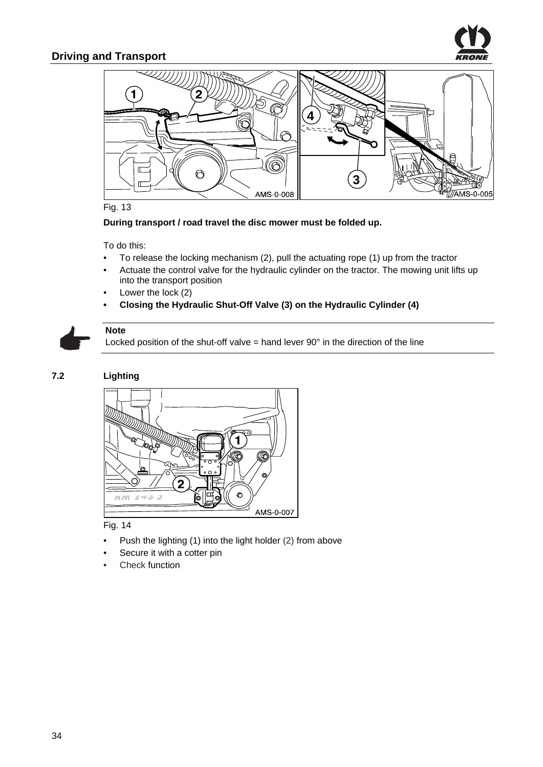

## **Driving and Transport**





#### **During transport / road travel the disc mower must be folded up.**

To do this:

- To release the locking mechanism (2), pull the actuating rope (1) up from the tractor
- Actuate the control valve for the hydraulic cylinder on the tractor. The mowing unit lifts up into the transport position
- Lower the lock (2)
- **Closing the Hydraulic Shut-Off Valve (3) on the Hydraulic Cylinder (4)**

Locked position of the shut-off valve  $=$  hand lever 90 $^{\circ}$  in the direction of the line



#### **7.2 Lighting**

**Note** 



Fig. 14

- Push the lighting (1) into the light holder (2) from above
- Secure it with a cotter pin
- Check function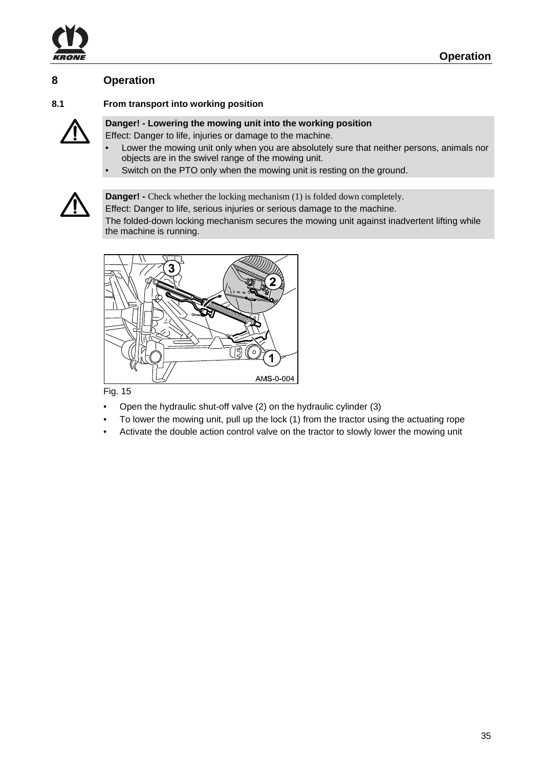

# **8 Operation**

#### **8.1 From transport into working position**



#### **Danger! - Lowering the mowing unit into the working position**

Effect: Danger to life, injuries or damage to the machine.

- Lower the mowing unit only when you are absolutely sure that neither persons, animals nor objects are in the swivel range of the mowing unit.
- Switch on the PTO only when the mowing unit is resting on the ground.



**Danger!** - Check whether the locking mechanism (1) is folded down completely.

Effect: Danger to life, serious injuries or serious damage to the machine.

The folded-down locking mechanism secures the mowing unit against inadvertent lifting while the machine is running.



Fig. 15

- Open the hydraulic shut-off valve (2) on the hydraulic cylinder (3)
- To lower the mowing unit, pull up the lock (1) from the tractor using the actuating rope
- Activate the double action control valve on the tractor to slowly lower the mowing unit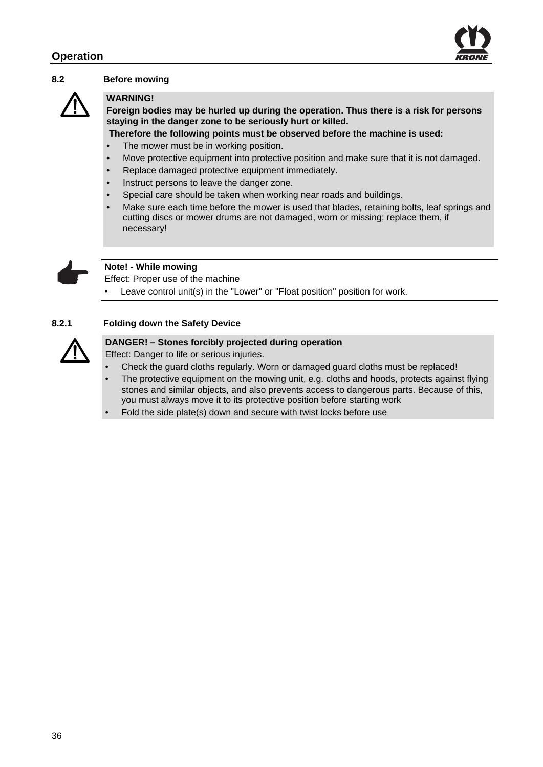

#### **8.2 Before mowing**



#### **WARNING!**

**Foreign bodies may be hurled up during the operation. Thus there is a risk for persons staying in the danger zone to be seriously hurt or killed.** 

**Therefore the following points must be observed before the machine is used:** 

- The mower must be in working position.
- Move protective equipment into protective position and make sure that it is not damaged.
- Replace damaged protective equipment immediately.
- Instruct persons to leave the danger zone.
- Special care should be taken when working near roads and buildings.
- Make sure each time before the mower is used that blades, retaining bolts, leaf springs and cutting discs or mower drums are not damaged, worn or missing; replace them, if necessary!



#### **Note! - While mowing**

Effect: Proper use of the machine

Leave control unit(s) in the "Lower" or "Float position" position for work.

#### **8.2.1 Folding down the Safety Device**

#### **DANGER! – Stones forcibly projected during operation**

Effect: Danger to life or serious injuries.

- Check the guard cloths regularly. Worn or damaged guard cloths must be replaced!
- The protective equipment on the mowing unit, e.g. cloths and hoods, protects against flying stones and similar objects, and also prevents access to dangerous parts. Because of this, you must always move it to its protective position before starting work
- Fold the side plate(s) down and secure with twist locks before use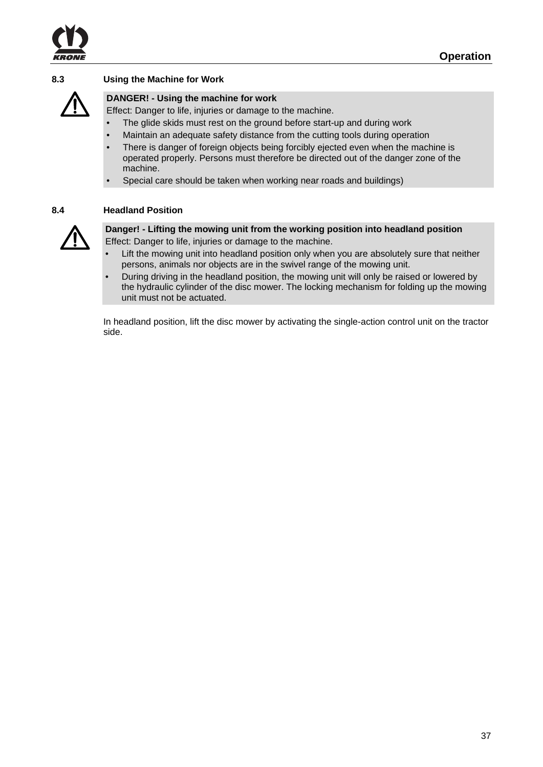

#### **8.3 Using the Machine for Work**



#### **DANGER! - Using the machine for work**

Effect: Danger to life, injuries or damage to the machine.

- The glide skids must rest on the ground before start-up and during work
- Maintain an adequate safety distance from the cutting tools during operation
- There is danger of foreign objects being forcibly ejected even when the machine is operated properly. Persons must therefore be directed out of the danger zone of the machine.
- Special care should be taken when working near roads and buildings)

#### **8.4 Headland Position**



#### **Danger! - Lifting the mowing unit from the working position into headland position**

Effect: Danger to life, injuries or damage to the machine.

- Lift the mowing unit into headland position only when you are absolutely sure that neither persons, animals nor objects are in the swivel range of the mowing unit.
- During driving in the headland position, the mowing unit will only be raised or lowered by the hydraulic cylinder of the disc mower. The locking mechanism for folding up the mowing unit must not be actuated.

In headland position, lift the disc mower by activating the single-action control unit on the tractor side.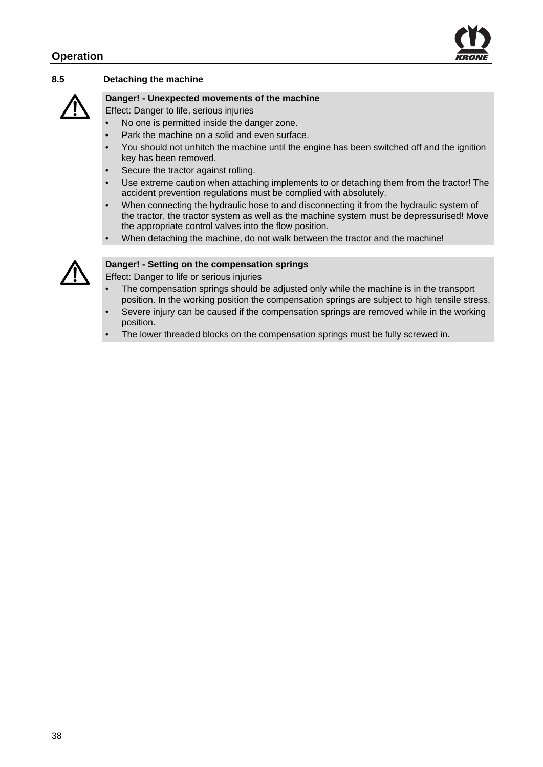

#### **8.5 Detaching the machine**

#### **Danger! - Unexpected movements of the machine**

Effect: Danger to life, serious injuries

- No one is permitted inside the danger zone.
- Park the machine on a solid and even surface.
- You should not unhitch the machine until the engine has been switched off and the ignition key has been removed.
- Secure the tractor against rolling.
- Use extreme caution when attaching implements to or detaching them from the tractor! The accident prevention regulations must be complied with absolutely.
- When connecting the hydraulic hose to and disconnecting it from the hydraulic system of the tractor, the tractor system as well as the machine system must be depressurised! Move the appropriate control valves into the flow position.
- When detaching the machine, do not walk between the tractor and the machine!



#### **Danger! - Setting on the compensation springs**

Effect: Danger to life or serious injuries

- The compensation springs should be adjusted only while the machine is in the transport position. In the working position the compensation springs are subject to high tensile stress.
- Severe injury can be caused if the compensation springs are removed while in the working position.
- The lower threaded blocks on the compensation springs must be fully screwed in.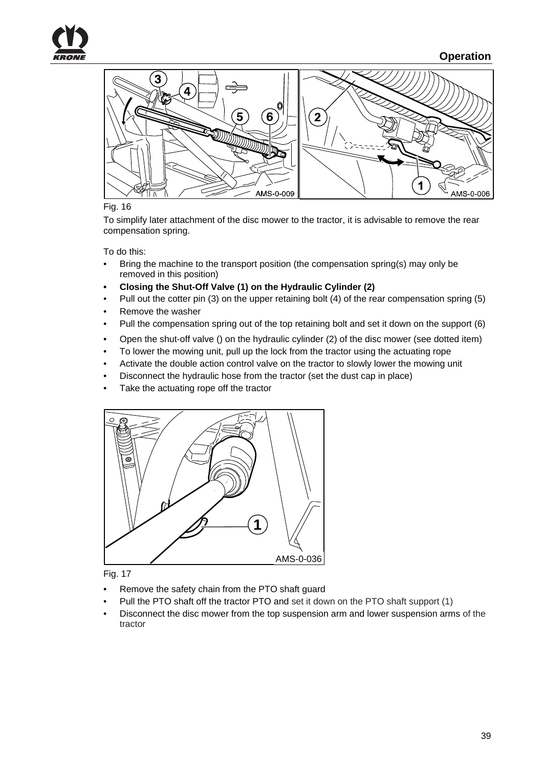

**Operation**



#### Fig. 16

To simplify later attachment of the disc mower to the tractor, it is advisable to remove the rear compensation spring.

To do this:

- Bring the machine to the transport position (the compensation spring(s) may only be removed in this position)
- **Closing the Shut-Off Valve (1) on the Hydraulic Cylinder (2)**
- Pull out the cotter pin (3) on the upper retaining bolt (4) of the rear compensation spring (5)
- Remove the washer
- Pull the compensation spring out of the top retaining bolt and set it down on the support (6)
- Open the shut-off valve () on the hydraulic cylinder (2) of the disc mower (see dotted item)
- To lower the mowing unit, pull up the lock from the tractor using the actuating rope
- Activate the double action control valve on the tractor to slowly lower the mowing unit
- Disconnect the hydraulic hose from the tractor (set the dust cap in place)
- Take the actuating rope off the tractor



Fig. 17

- Remove the safety chain from the PTO shaft guard
- Pull the PTO shaft off the tractor PTO and set it down on the PTO shaft support (1)
- Disconnect the disc mower from the top suspension arm and lower suspension arms of the tractor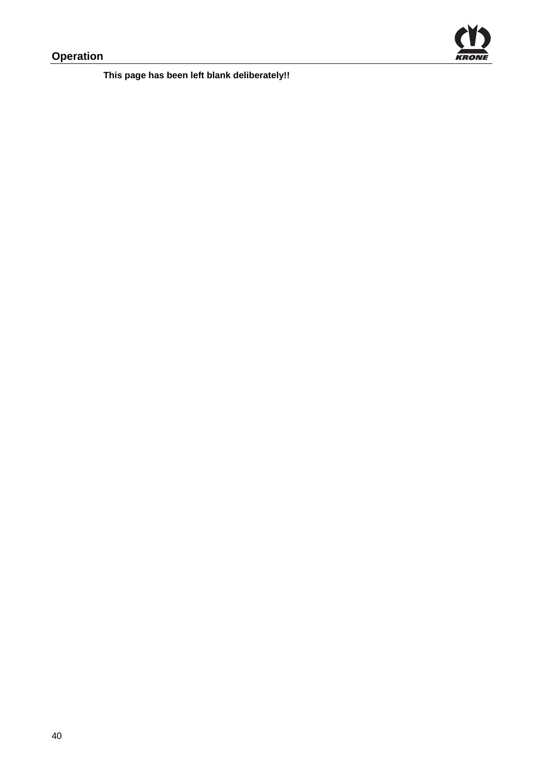

**This page has been left blank deliberately!!**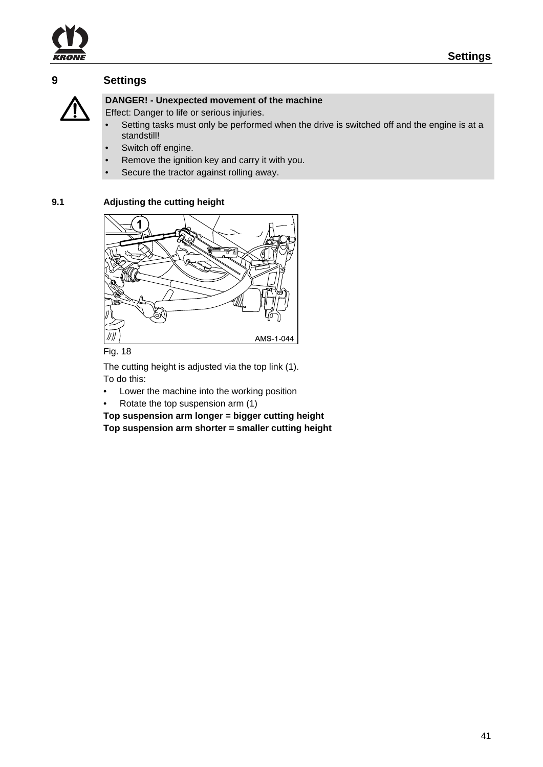

# **9 Settings**



#### **DANGER! - Unexpected movement of the machine**

Effect: Danger to life or serious injuries.

- Setting tasks must only be performed when the drive is switched off and the engine is at a standstill!
- Switch off engine.
- Remove the ignition key and carry it with you.
- Secure the tractor against rolling away.

#### **9.1 Adjusting the cutting height**



Fig. 18

The cutting height is adjusted via the top link (1). To do this:

- Lower the machine into the working position
- Rotate the top suspension arm (1)

**Top suspension arm longer = bigger cutting height Top suspension arm shorter = smaller cutting height**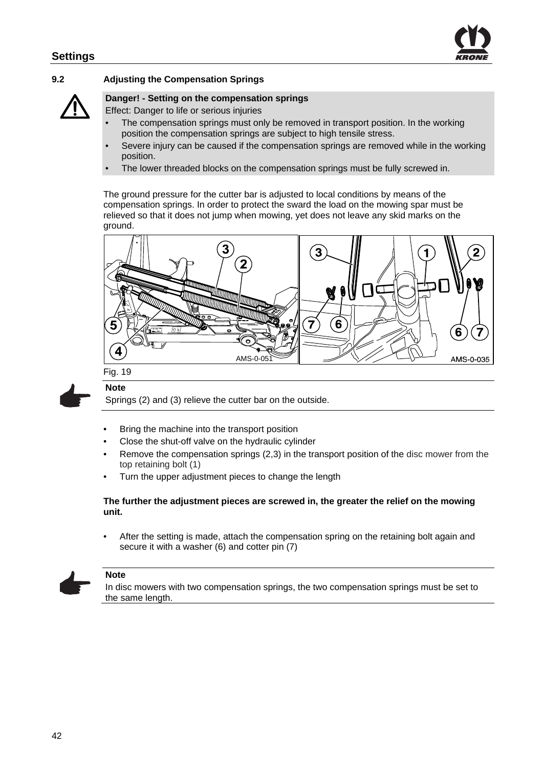

#### **9.2 Adjusting the Compensation Springs**

#### **Danger! - Setting on the compensation springs**

Effect: Danger to life or serious injuries

- The compensation springs must only be removed in transport position. In the working position the compensation springs are subject to high tensile stress.
- Severe injury can be caused if the compensation springs are removed while in the working position.
- The lower threaded blocks on the compensation springs must be fully screwed in.

The ground pressure for the cutter bar is adjusted to local conditions by means of the compensation springs. In order to protect the sward the load on the mowing spar must be relieved so that it does not jump when mowing, yet does not leave any skid marks on the ground.



Fig. 19

#### **Note**

Springs (2) and (3) relieve the cutter bar on the outside.

- Bring the machine into the transport position
- Close the shut-off valve on the hydraulic cylinder
- Remove the compensation springs (2,3) in the transport position of the disc mower from the top retaining bolt (1)
- Turn the upper adjustment pieces to change the length

#### **The further the adjustment pieces are screwed in, the greater the relief on the mowing unit.**

• After the setting is made, attach the compensation spring on the retaining bolt again and secure it with a washer (6) and cotter pin (7)



#### **Note**

In disc mowers with two compensation springs, the two compensation springs must be set to the same length.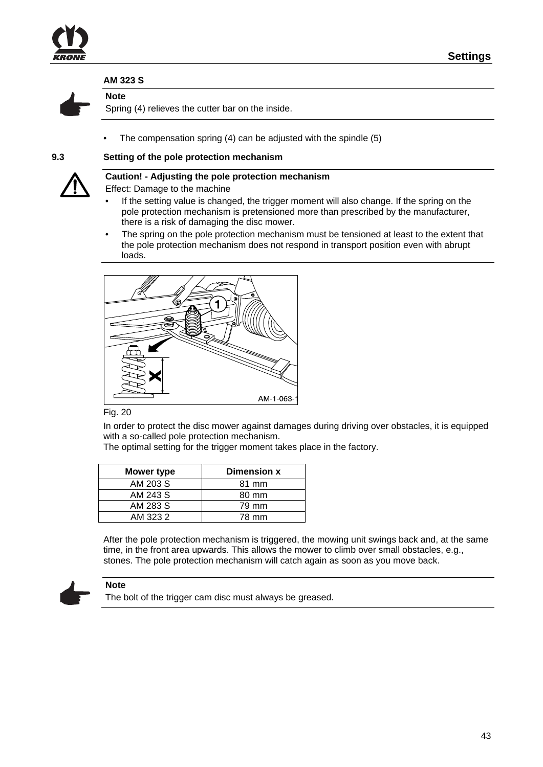

#### **AM 323 S**

**Note** 



Spring (4) relieves the cutter bar on the inside.

The compensation spring (4) can be adjusted with the spindle  $(5)$ 

#### **9.3 Setting of the pole protection mechanism**



#### **Caution! - Adjusting the pole protection mechanism**

Effect: Damage to the machine

- If the setting value is changed, the trigger moment will also change. If the spring on the pole protection mechanism is pretensioned more than prescribed by the manufacturer, there is a risk of damaging the disc mower.
- The spring on the pole protection mechanism must be tensioned at least to the extent that the pole protection mechanism does not respond in transport position even with abrupt loads.





In order to protect the disc mower against damages during driving over obstacles, it is equipped with a so-called pole protection mechanism.

The optimal setting for the trigger moment takes place in the factory.

| <b>Mower type</b> | <b>Dimension x</b> |
|-------------------|--------------------|
| AM 203 S          | 81 mm              |
| AM 243 S          | 80 mm              |
| AM 283 S          | 79 mm              |
| AM 323 2          | 78 mm              |

After the pole protection mechanism is triggered, the mowing unit swings back and, at the same time, in the front area upwards. This allows the mower to climb over small obstacles, e.g., stones. The pole protection mechanism will catch again as soon as you move back.



# **Note**

The bolt of the trigger cam disc must always be greased.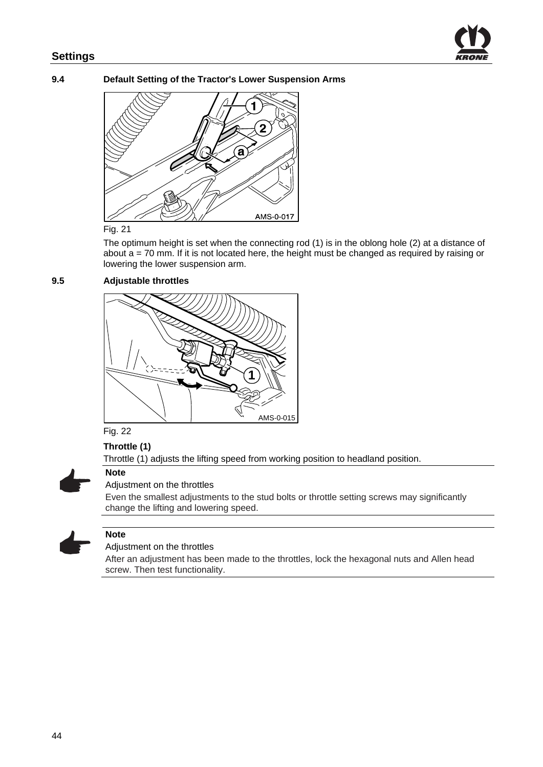

**9.4 Default Setting of the Tractor's Lower Suspension Arms** 



#### Fig. 21

The optimum height is set when the connecting rod (1) is in the oblong hole (2) at a distance of about a = 70 mm. If it is not located here, the height must be changed as required by raising or lowering the lower suspension arm.

#### **9.5 Adjustable throttles**



#### Fig. 22

**Note** 

**Throttle (1)** 

Throttle (1) adjusts the lifting speed from working position to headland position.



#### Adjustment on the throttles

Even the smallest adjustments to the stud bolts or throttle setting screws may significantly change the lifting and lowering speed.



# **Note**

Adjustment on the throttles

After an adjustment has been made to the throttles, lock the hexagonal nuts and Allen head screw. Then test functionality.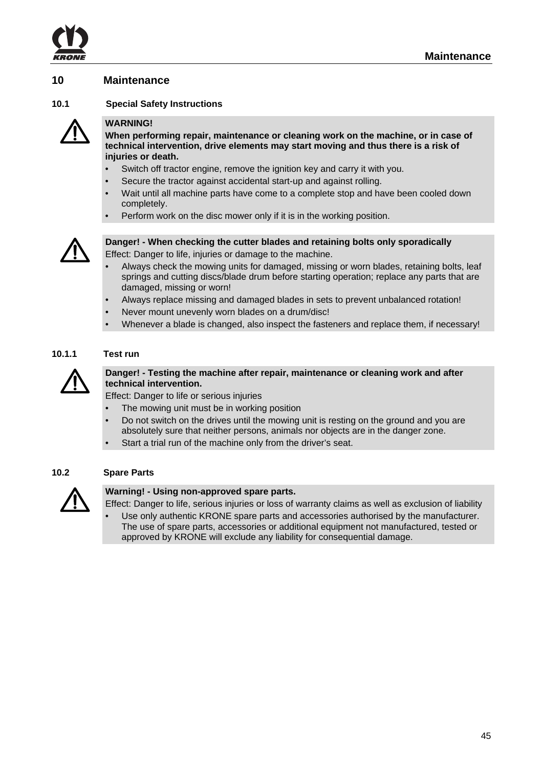

#### **10 Maintenance**

#### **10.1 Special Safety Instructions**



#### **WARNING!**

**When performing repair, maintenance or cleaning work on the machine, or in case of technical intervention, drive elements may start moving and thus there is a risk of injuries or death.** 

- Switch off tractor engine, remove the ignition key and carry it with you.
- Secure the tractor against accidental start-up and against rolling.
- Wait until all machine parts have come to a complete stop and have been cooled down completely.
- Perform work on the disc mower only if it is in the working position.



**Danger! - When checking the cutter blades and retaining bolts only sporadically**  Effect: Danger to life, injuries or damage to the machine.

- Always check the mowing units for damaged, missing or worn blades, retaining bolts, leaf springs and cutting discs/blade drum before starting operation; replace any parts that are damaged, missing or worn!
- Always replace missing and damaged blades in sets to prevent unbalanced rotation!
- Never mount unevenly worn blades on a drum/disc!
- Whenever a blade is changed, also inspect the fasteners and replace them, if necessary!

#### **10.1.1 Test run**



**Danger! - Testing the machine after repair, maintenance or cleaning work and after technical intervention.** 

Effect: Danger to life or serious injuries

- The mowing unit must be in working position
- Do not switch on the drives until the mowing unit is resting on the ground and you are absolutely sure that neither persons, animals nor objects are in the danger zone.
- Start a trial run of the machine only from the driver's seat.

#### **10.2 Spare Parts**



#### **Warning! - Using non-approved spare parts.**

Effect: Danger to life, serious injuries or loss of warranty claims as well as exclusion of liability

• Use only authentic KRONE spare parts and accessories authorised by the manufacturer. The use of spare parts, accessories or additional equipment not manufactured, tested or approved by KRONE will exclude any liability for consequential damage.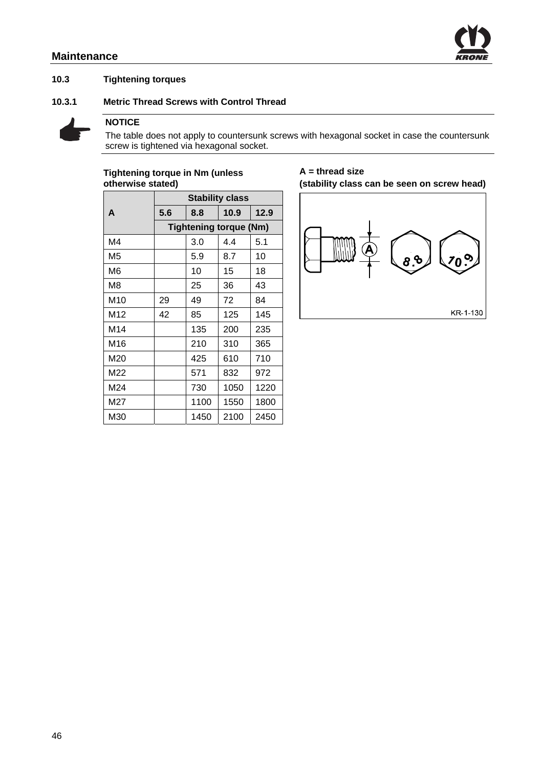#### **Maintenance**



#### **10.3 Tightening torques**

**10.3.1 Metric Thread Screws with Control Thread** 



# **NOTICE**

The table does not apply to countersunk screws with hexagonal socket in case the countersunk screw is tightened via hexagonal socket.

#### **Tightening torque in Nm (unless otherwise stated)**

|     |                               |      | <b>Stability class</b> |      |
|-----|-------------------------------|------|------------------------|------|
| A   | 5.6                           | 8.8  | 10.9                   | 12.9 |
|     | <b>Tightening torque (Nm)</b> |      |                        |      |
| M4  |                               | 3.0  | 4.4                    | 5.1  |
| M5  |                               | 5.9  | 8.7                    | 10   |
| M6  |                               | 10   | 15                     | 18   |
| M8  |                               | 25   | 36                     | 43   |
| M10 | 29                            | 49   | 72                     | 84   |
| M12 | 42                            | 85   | 125                    | 145  |
| M14 |                               | 135  | 200                    | 235  |
| M16 |                               | 210  | 310                    | 365  |
| M20 |                               | 425  | 610                    | 710  |
| M22 |                               | 571  | 832                    | 972  |
| M24 |                               | 730  | 1050                   | 1220 |
| M27 |                               | 1100 | 1550                   | 1800 |
| M30 |                               | 1450 | 2100                   | 2450 |

#### **A = thread size (stability class can be seen on screw head)**

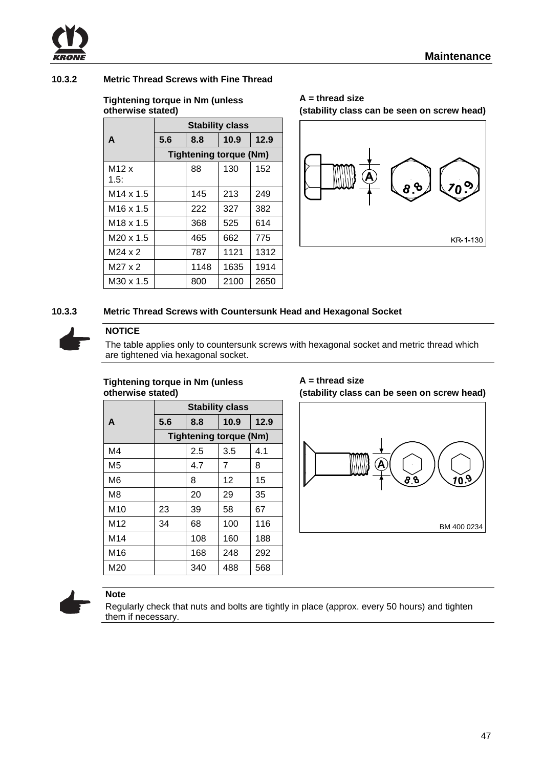

#### **10.3.2 Metric Thread Screws with Fine Thread**

#### **Tightening torque in Nm (unless otherwise stated)**

|                       | <b>Stability class</b>        |      |      |      |
|-----------------------|-------------------------------|------|------|------|
| A                     | 5.6                           | 8.8  | 10.9 | 12.9 |
|                       | <b>Tightening torque (Nm)</b> |      |      |      |
| M12x<br>1.5:          |                               | 88   | 130  | 152  |
| M <sub>14</sub> x 1.5 |                               | 145  | 213  | 249  |
| M <sub>16</sub> x 1.5 |                               | 222  | 327  | 382  |
| M <sub>18</sub> x 1.5 |                               | 368  | 525  | 614  |
| M20 x 1.5             |                               | 465  | 662  | 775  |
| $M24 \times 2$        |                               | 787  | 1121 | 1312 |
| $M27 \times 2$        |                               | 1148 | 1635 | 1914 |
| M30 x 1.5             |                               | 800  | 2100 | 2650 |

**A = thread size (stability class can be seen on screw head)**



#### **10.3.3 Metric Thread Screws with Countersunk Head and Hexagonal Socket**



# **NOTICE**

The table applies only to countersunk screws with hexagonal socket and metric thread which are tightened via hexagonal socket.

#### **Tightening torque in Nm (unless otherwise stated)**

|                 |                               | <b>Stability class</b> |      |      |
|-----------------|-------------------------------|------------------------|------|------|
| A               | 5.6                           | 8.8                    | 10.9 | 12.9 |
|                 | <b>Tightening torque (Nm)</b> |                        |      |      |
| M4              |                               | 2.5                    | 3.5  | 4.1  |
| M5              |                               | 4.7                    | 7    | 8    |
| M6              |                               | 8                      | 12   | 15   |
| M8              |                               | 20                     | 29   | 35   |
| M10             | 23                            | 39                     | 58   | 67   |
| M <sub>12</sub> | 34                            | 68                     | 100  | 116  |
| M14             |                               | 108                    | 160  | 188  |
| M16             |                               | 168                    | 248  | 292  |
| M20             |                               | 340                    | 488  | 568  |
|                 |                               |                        |      |      |

**A = thread size** 





#### **Note**

Regularly check that nuts and bolts are tightly in place (approx. every 50 hours) and tighten them if necessary.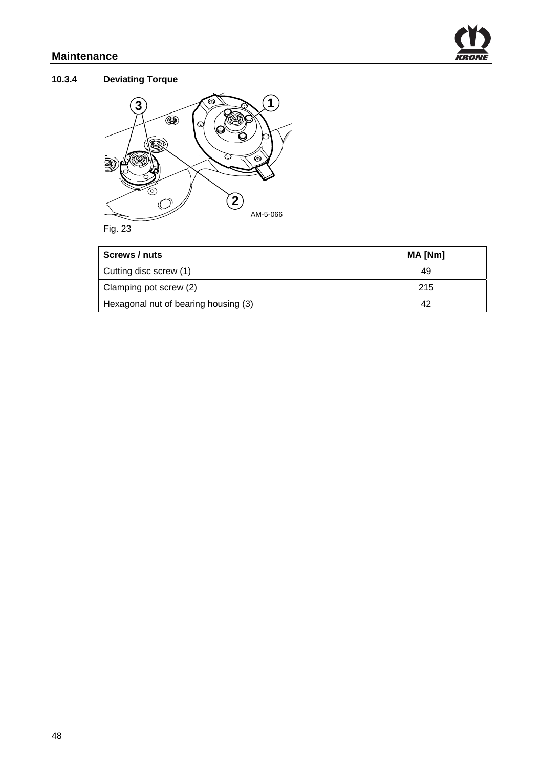# **Maintenance**



# **10.3.4 Deviating Torque**



Fig. 23

| Screws / nuts                        | MA [Nm] |
|--------------------------------------|---------|
| Cutting disc screw (1)               | 49      |
| Clamping pot screw (2)               | 215     |
| Hexagonal nut of bearing housing (3) |         |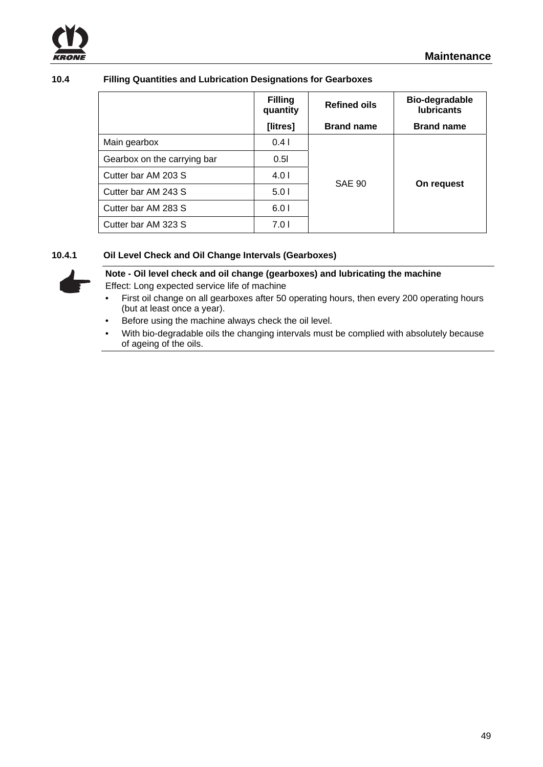

#### **10.4 Filling Quantities and Lubrication Designations for Gearboxes**

|                             | <b>Filling</b><br>quantity | <b>Refined oils</b> | Bio-degradable<br><b>lubricants</b> |
|-----------------------------|----------------------------|---------------------|-------------------------------------|
|                             | [litres]                   | <b>Brand name</b>   | <b>Brand name</b>                   |
| Main gearbox                | 0.41                       |                     |                                     |
| Gearbox on the carrying bar | 0.51                       |                     |                                     |
| Cutter bar AM 203 S         | 4.01                       |                     |                                     |
| Cutter bar AM 243 S         | 5.01                       | <b>SAE 90</b>       | On request                          |
| Cutter bar AM 283 S         | 6.01                       |                     |                                     |
| Cutter bar AM 323 S         | 7.0 I                      |                     |                                     |

# **10.4.1 Oil Level Check and Oil Change Intervals (Gearboxes)**



#### **Note - Oil level check and oil change (gearboxes) and lubricating the machine**

Effect: Long expected service life of machine

- First oil change on all gearboxes after 50 operating hours, then every 200 operating hours (but at least once a year).
- Before using the machine always check the oil level.
- With bio-degradable oils the changing intervals must be complied with absolutely because of ageing of the oils.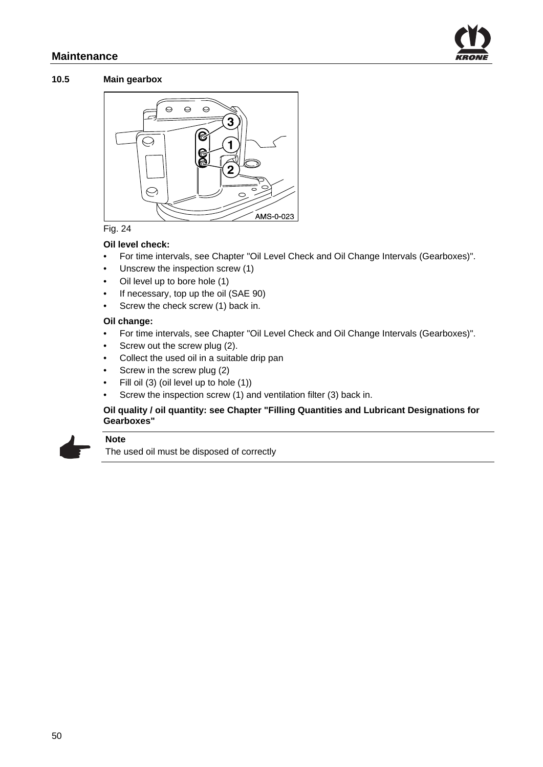#### **Maintenance**

#### **10.5 Main gearbox**



#### Fig. 24

#### **Oil level check:**

- For time intervals, see Chapter "Oil Level Check and Oil Change Intervals (Gearboxes)".
- Unscrew the inspection screw (1)
- Oil level up to bore hole (1)
- If necessary, top up the oil (SAE 90)
- Screw the check screw (1) back in.

#### **Oil change:**

- For time intervals, see Chapter "Oil Level Check and Oil Change Intervals (Gearboxes)".
- Screw out the screw plug (2).
- Collect the used oil in a suitable drip pan
- Screw in the screw plug (2)
- Fill oil (3) (oil level up to hole (1))
- Screw the inspection screw (1) and ventilation filter (3) back in.

#### **Oil quality / oil quantity: see Chapter "Filling Quantities and Lubricant Designations for Gearboxes"**



### **Note**

The used oil must be disposed of correctly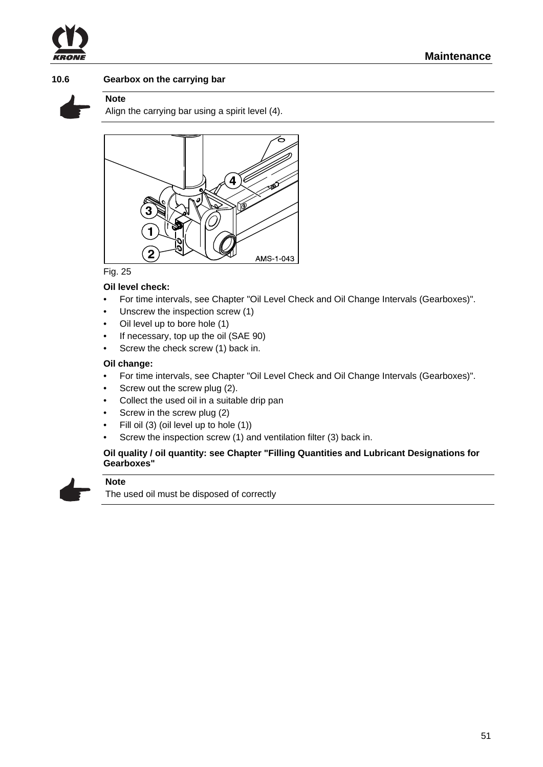

#### **10.6 Gearbox on the carrying bar**



#### **Note**

Align the carrying bar using a spirit level (4).



#### Fig. 25

#### **Oil level check:**

- For time intervals, see Chapter "Oil Level Check and Oil Change Intervals (Gearboxes)".
- Unscrew the inspection screw (1)
- Oil level up to bore hole (1)
- If necessary, top up the oil (SAE 90)
- Screw the check screw (1) back in.

#### **Oil change:**

- For time intervals, see Chapter "Oil Level Check and Oil Change Intervals (Gearboxes)".
- Screw out the screw plug (2).
- Collect the used oil in a suitable drip pan
- Screw in the screw plug (2)
- Fill oil (3) (oil level up to hole (1))
- Screw the inspection screw (1) and ventilation filter (3) back in.

#### **Oil quality / oil quantity: see Chapter "Filling Quantities and Lubricant Designations for Gearboxes"**



#### **Note**

The used oil must be disposed of correctly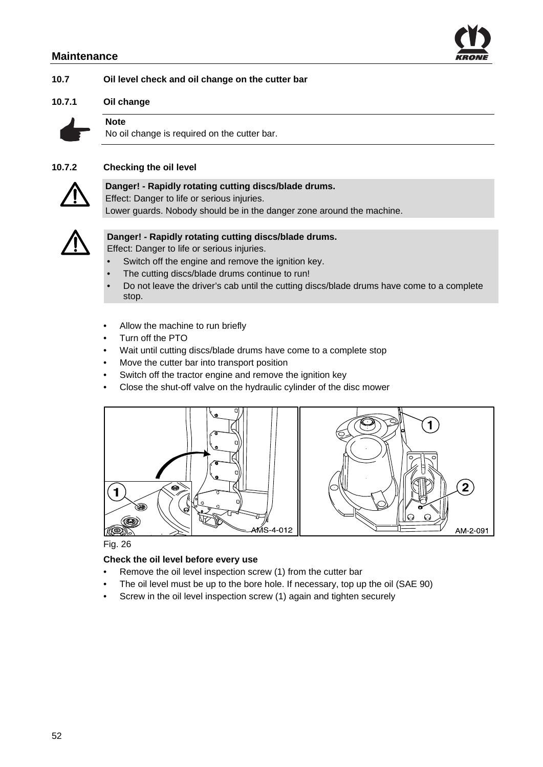#### **Maintenance**





#### **10.7.1 Oil change**



#### **Note**  No oil change is required on the cutter bar.

#### **10.7.2 Checking the oil level**



#### **Danger! - Rapidly rotating cutting discs/blade drums.**  Effect: Danger to life or serious injuries. Lower guards. Nobody should be in the danger zone around the machine.



#### **Danger! - Rapidly rotating cutting discs/blade drums.**

Effect: Danger to life or serious injuries.

- Switch off the engine and remove the ignition key.
- The cutting discs/blade drums continue to run!
- Do not leave the driver's cab until the cutting discs/blade drums have come to a complete stop.
- Allow the machine to run briefly
- Turn off the PTO
- Wait until cutting discs/blade drums have come to a complete stop
- Move the cutter bar into transport position
- Switch off the tractor engine and remove the ignition key
- Close the shut-off valve on the hydraulic cylinder of the disc mower



Fig. 26

#### **Check the oil level before every use**

- Remove the oil level inspection screw (1) from the cutter bar
- The oil level must be up to the bore hole. If necessary, top up the oil (SAE 90)
- Screw in the oil level inspection screw (1) again and tighten securely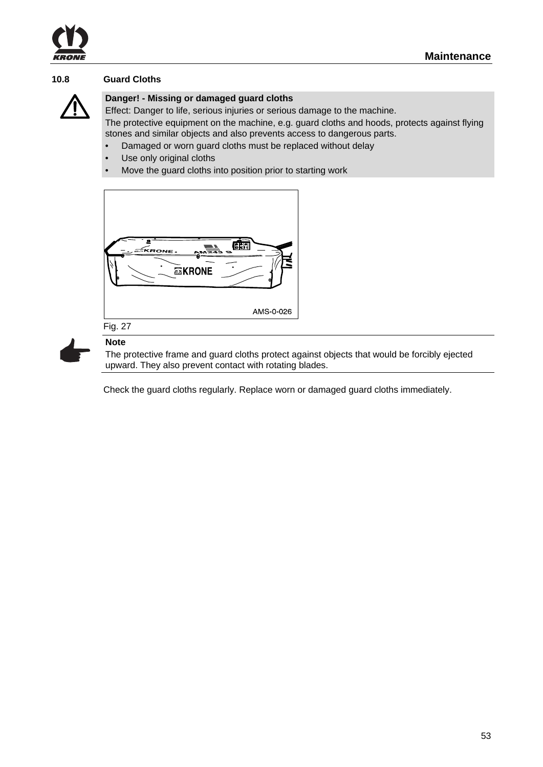

#### **10.8 Guard Cloths**



#### **Danger! - Missing or damaged guard cloths**

Effect: Danger to life, serious injuries or serious damage to the machine. The protective equipment on the machine, e.g. guard cloths and hoods, protects against flying stones and similar objects and also prevents access to dangerous parts.

- Damaged or worn guard cloths must be replaced without delay
- Use only original cloths
- Move the guard cloths into position prior to starting work



# Fig. 27

#### **Note**

The protective frame and guard cloths protect against objects that would be forcibly ejected upward. They also prevent contact with rotating blades.

Check the guard cloths regularly. Replace worn or damaged guard cloths immediately.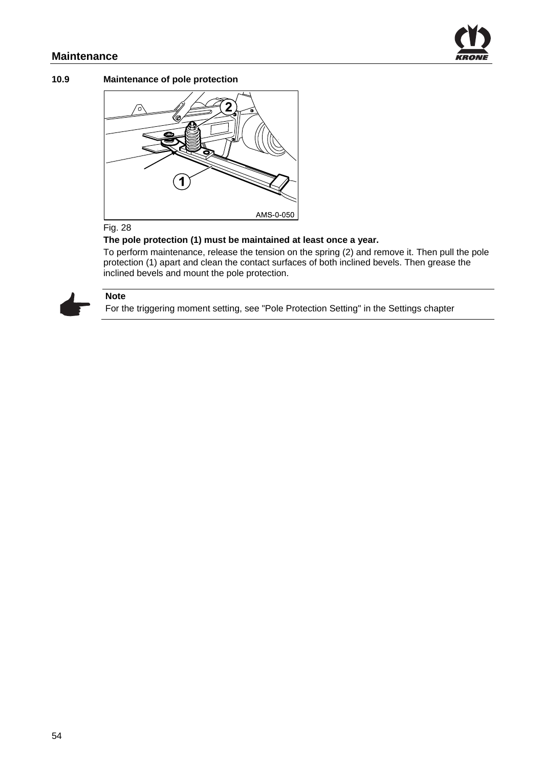

#### **10.9 Maintenance of pole protection**



### Fig. 28

#### **The pole protection (1) must be maintained at least once a year.**

To perform maintenance, release the tension on the spring (2) and remove it. Then pull the pole protection (1) apart and clean the contact surfaces of both inclined bevels. Then grease the inclined bevels and mount the pole protection.



# **Note**

For the triggering moment setting, see "Pole Protection Setting" in the Settings chapter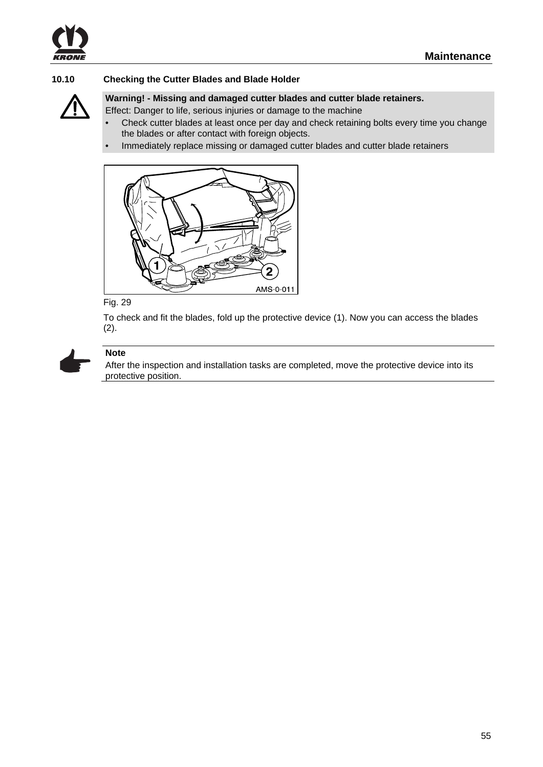

#### **10.10 Checking the Cutter Blades and Blade Holder**



# **Warning! - Missing and damaged cutter blades and cutter blade retainers.**

Effect: Danger to life, serious injuries or damage to the machine

- Check cutter blades at least once per day and check retaining bolts every time you change the blades or after contact with foreign objects.
- Immediately replace missing or damaged cutter blades and cutter blade retainers



Fig. 29

To check and fit the blades, fold up the protective device (1). Now you can access the blades (2).



#### **Note**

After the inspection and installation tasks are completed, move the protective device into its protective position.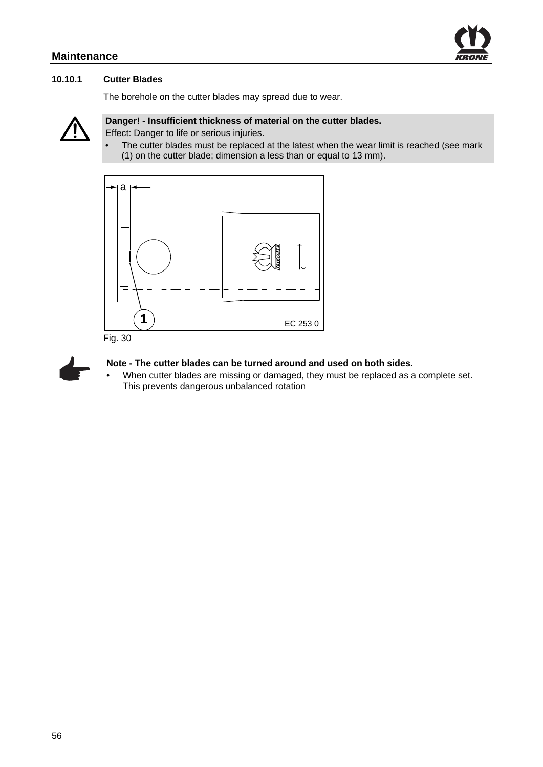#### **10.10.1 Cutter Blades**

The borehole on the cutter blades may spread due to wear.



#### **Danger! - Insufficient thickness of material on the cutter blades.**

Effect: Danger to life or serious injuries.

• The cutter blades must be replaced at the latest when the wear limit is reached (see mark (1) on the cutter blade; dimension a less than or equal to 13 mm).



Fig. 30



#### **Note - The cutter blades can be turned around and used on both sides.**

When cutter blades are missing or damaged, they must be replaced as a complete set. This prevents dangerous unbalanced rotation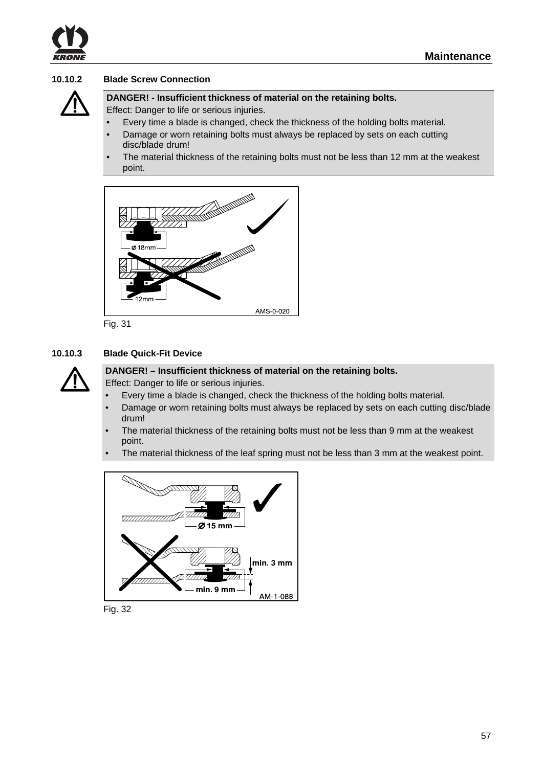

#### **10.10.2 Blade Screw Connection**



**DANGER! - Insufficient thickness of material on the retaining bolts.** 

Effect: Danger to life or serious injuries.

- Every time a blade is changed, check the thickness of the holding bolts material.
- Damage or worn retaining bolts must always be replaced by sets on each cutting disc/blade drum!
- The material thickness of the retaining bolts must not be less than 12 mm at the weakest point.



Fig. 31

#### **10.10.3 Blade Quick-Fit Device**



#### **DANGER! – Insufficient thickness of material on the retaining bolts.**

Effect: Danger to life or serious injuries.

- Every time a blade is changed, check the thickness of the holding bolts material.
- Damage or worn retaining bolts must always be replaced by sets on each cutting disc/blade drum!
- The material thickness of the retaining bolts must not be less than 9 mm at the weakest point.
- The material thickness of the leaf spring must not be less than 3 mm at the weakest point.



Fig. 32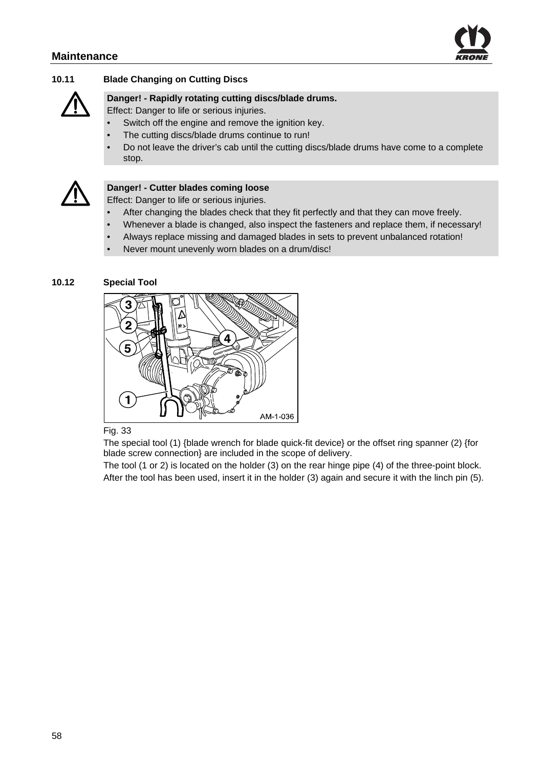

#### **10.11 Blade Changing on Cutting Discs**



#### **Danger! - Rapidly rotating cutting discs/blade drums.**

Effect: Danger to life or serious injuries.

- Switch off the engine and remove the ignition key.
- The cutting discs/blade drums continue to run!
- Do not leave the driver's cab until the cutting discs/blade drums have come to a complete stop.



#### **Danger! - Cutter blades coming loose**

Effect: Danger to life or serious injuries.

- After changing the blades check that they fit perfectly and that they can move freely.
- Whenever a blade is changed, also inspect the fasteners and replace them, if necessary!
- Always replace missing and damaged blades in sets to prevent unbalanced rotation!
- Never mount unevenly worn blades on a drum/disc!

#### **10.12 Special Tool**



#### Fig. 33

The special tool (1) {blade wrench for blade quick-fit device} or the offset ring spanner (2) {for blade screw connection} are included in the scope of delivery.

The tool (1 or 2) is located on the holder (3) on the rear hinge pipe (4) of the three-point block. After the tool has been used, insert it in the holder (3) again and secure it with the linch pin (5).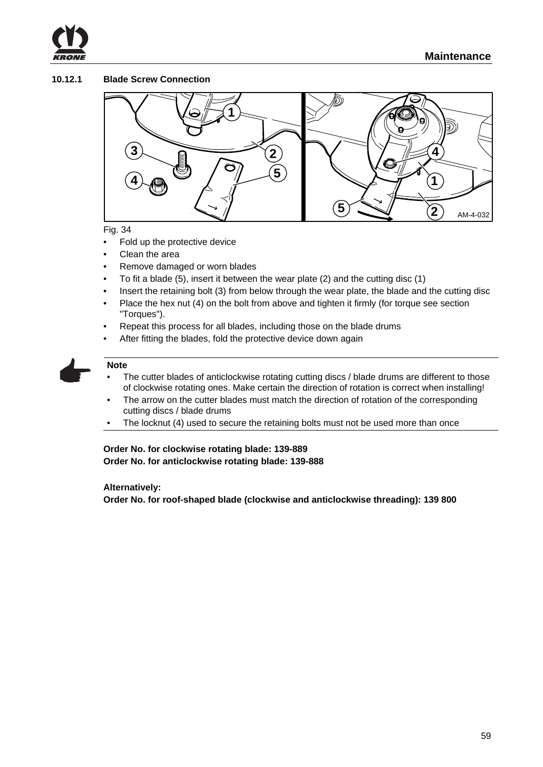

#### **10.12.1 Blade Screw Connection**



#### Fig. 34

- Fold up the protective device
- Clean the area
- Remove damaged or worn blades
- To fit a blade (5), insert it between the wear plate (2) and the cutting disc (1)
- Insert the retaining bolt (3) from below through the wear plate, the blade and the cutting disc
- Place the hex nut (4) on the bolt from above and tighten it firmly (for torque see section "Torques").
- Repeat this process for all blades, including those on the blade drums
- After fitting the blades, fold the protective device down again



#### **Note**

- The cutter blades of anticlockwise rotating cutting discs / blade drums are different to those of clockwise rotating ones. Make certain the direction of rotation is correct when installing!
- The arrow on the cutter blades must match the direction of rotation of the corresponding cutting discs / blade drums
- The locknut (4) used to secure the retaining bolts must not be used more than once

**Order No. for clockwise rotating blade: 139-889 Order No. for anticlockwise rotating blade: 139-888** 

#### **Alternatively:**

**Order No. for roof-shaped blade (clockwise and anticlockwise threading): 139 800**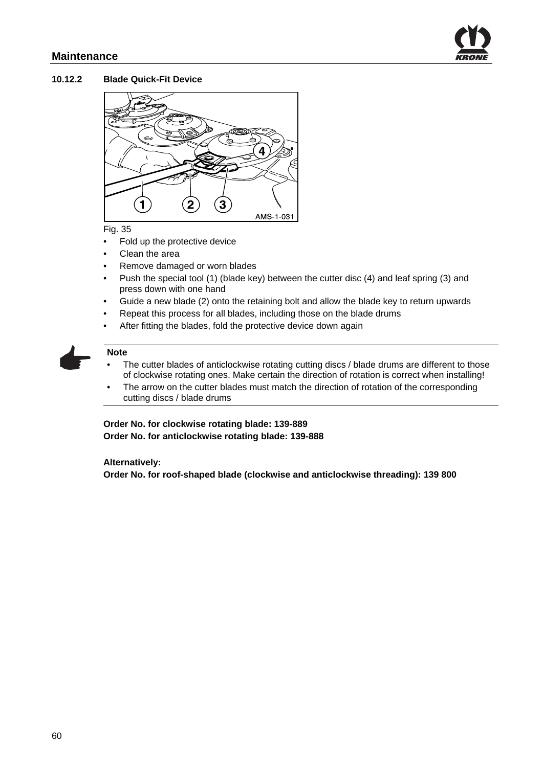

#### **10.12.2 Blade Quick-Fit Device**



#### Fig. 35

- Fold up the protective device
- Clean the area
- Remove damaged or worn blades
- Push the special tool (1) (blade key) between the cutter disc (4) and leaf spring (3) and press down with one hand
- Guide a new blade (2) onto the retaining bolt and allow the blade key to return upwards
- Repeat this process for all blades, including those on the blade drums
- After fitting the blades, fold the protective device down again



#### **Note**

- The cutter blades of anticlockwise rotating cutting discs / blade drums are different to those of clockwise rotating ones. Make certain the direction of rotation is correct when installing!
- The arrow on the cutter blades must match the direction of rotation of the corresponding cutting discs / blade drums

**Order No. for clockwise rotating blade: 139-889 Order No. for anticlockwise rotating blade: 139-888** 

#### **Alternatively:**

**Order No. for roof-shaped blade (clockwise and anticlockwise threading): 139 800**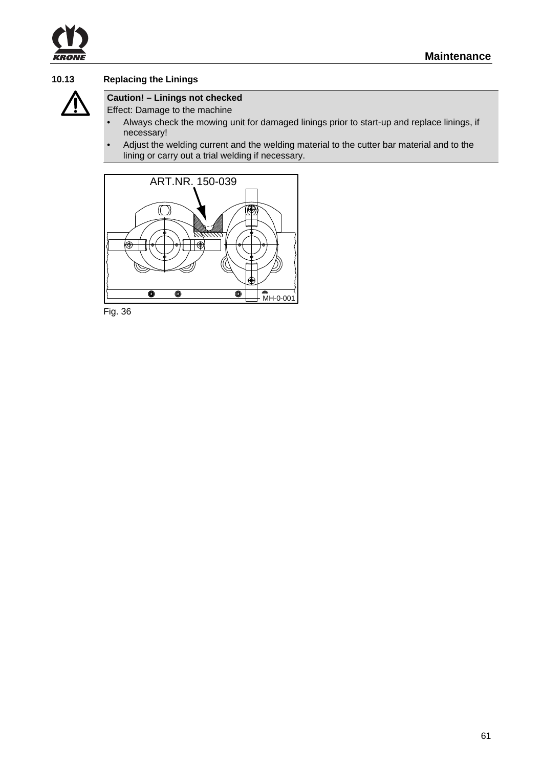

#### **10.13 Replacing the Linings**



# **Caution! – Linings not checked**

#### Effect: Damage to the machine

- Always check the mowing unit for damaged linings prior to start-up and replace linings, if necessary!
- Adjust the welding current and the welding material to the cutter bar material and to the lining or carry out a trial welding if necessary.



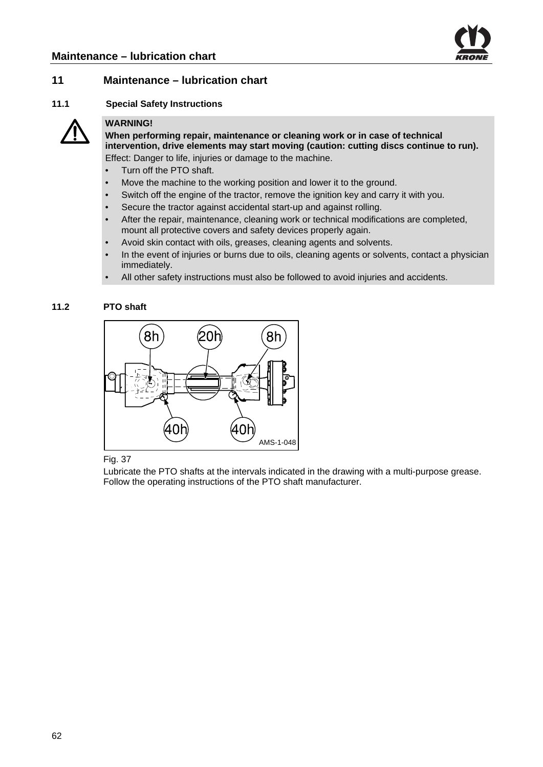

#### **11 Maintenance – lubrication chart**

#### **11.1 Special Safety Instructions**



#### **WARNING!**

**When performing repair, maintenance or cleaning work or in case of technical intervention, drive elements may start moving (caution: cutting discs continue to run).** 

Effect: Danger to life, injuries or damage to the machine.

- Turn off the PTO shaft.
- Move the machine to the working position and lower it to the ground.
- Switch off the engine of the tractor, remove the ignition key and carry it with you.
- Secure the tractor against accidental start-up and against rolling.
- After the repair, maintenance, cleaning work or technical modifications are completed, mount all protective covers and safety devices properly again.
- Avoid skin contact with oils, greases, cleaning agents and solvents.
- In the event of injuries or burns due to oils, cleaning agents or solvents, contact a physician immediately.
- All other safety instructions must also be followed to avoid injuries and accidents.

#### **11.2 PTO shaft**



Fig. 37

Lubricate the PTO shafts at the intervals indicated in the drawing with a multi-purpose grease. Follow the operating instructions of the PTO shaft manufacturer.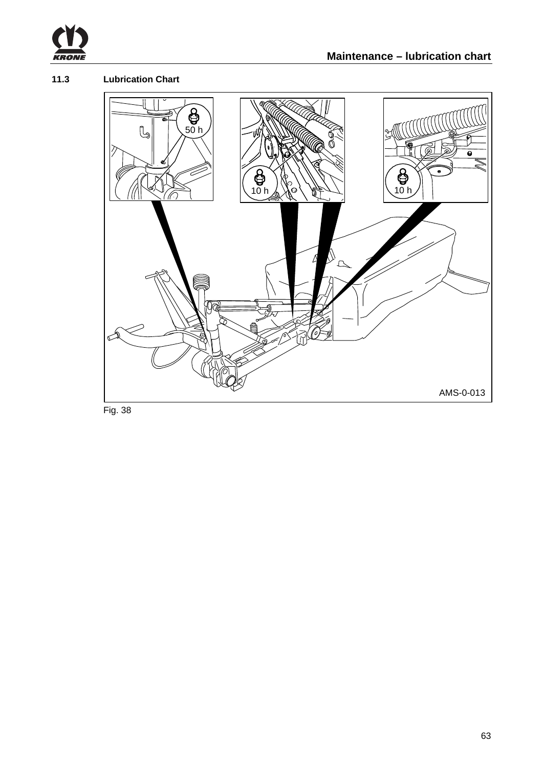

# **11.3 Lubrication Chart**



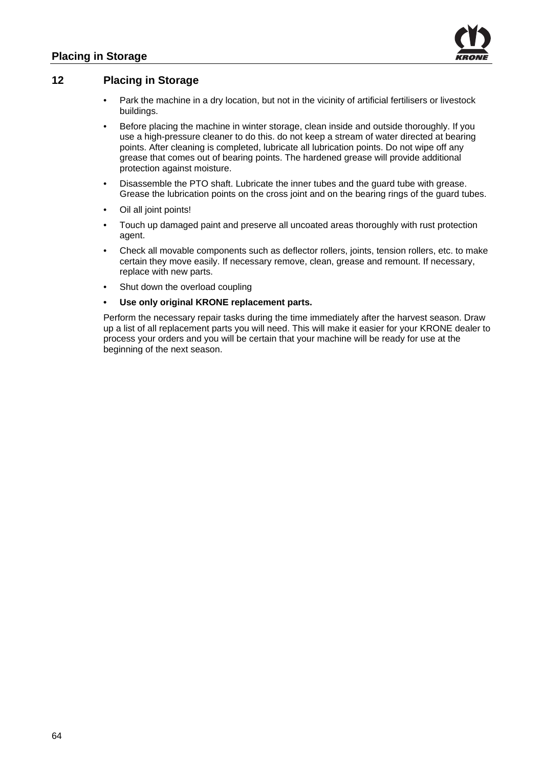

#### **12 Placing in Storage**

- Park the machine in a dry location, but not in the vicinity of artificial fertilisers or livestock buildings.
- Before placing the machine in winter storage, clean inside and outside thoroughly. If you use a high-pressure cleaner to do this. do not keep a stream of water directed at bearing points. After cleaning is completed, lubricate all lubrication points. Do not wipe off any grease that comes out of bearing points. The hardened grease will provide additional protection against moisture.
- Disassemble the PTO shaft. Lubricate the inner tubes and the guard tube with grease. Grease the lubrication points on the cross joint and on the bearing rings of the guard tubes.
- Oil all joint points!
- Touch up damaged paint and preserve all uncoated areas thoroughly with rust protection agent.
- Check all movable components such as deflector rollers, joints, tension rollers, etc. to make certain they move easily. If necessary remove, clean, grease and remount. If necessary, replace with new parts.
- Shut down the overload coupling
- **Use only original KRONE replacement parts.**

Perform the necessary repair tasks during the time immediately after the harvest season. Draw up a list of all replacement parts you will need. This will make it easier for your KRONE dealer to process your orders and you will be certain that your machine will be ready for use at the beginning of the next season.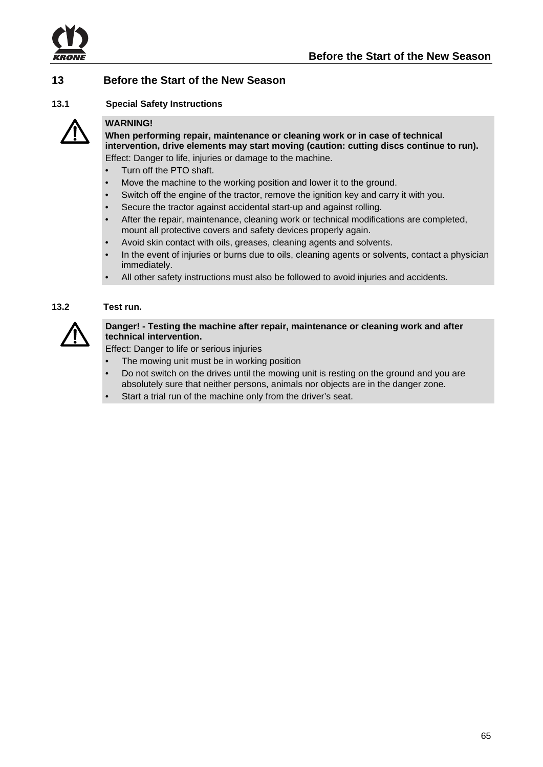

# **13 Before the Start of the New Season**

#### **13.1 Special Safety Instructions**



#### **WARNING!**

**When performing repair, maintenance or cleaning work or in case of technical intervention, drive elements may start moving (caution: cutting discs continue to run).** 

Effect: Danger to life, injuries or damage to the machine.

- Turn off the PTO shaft.
- Move the machine to the working position and lower it to the ground.
- Switch off the engine of the tractor, remove the ignition key and carry it with you.
- Secure the tractor against accidental start-up and against rolling.
- After the repair, maintenance, cleaning work or technical modifications are completed, mount all protective covers and safety devices properly again.
- Avoid skin contact with oils, greases, cleaning agents and solvents.
- In the event of injuries or burns due to oils, cleaning agents or solvents, contact a physician immediately.
- All other safety instructions must also be followed to avoid injuries and accidents.

#### **13.2 Test run.**



#### **Danger! - Testing the machine after repair, maintenance or cleaning work and after technical intervention.**

Effect: Danger to life or serious injuries

- The mowing unit must be in working position
- Do not switch on the drives until the mowing unit is resting on the ground and you are absolutely sure that neither persons, animals nor objects are in the danger zone.
- Start a trial run of the machine only from the driver's seat.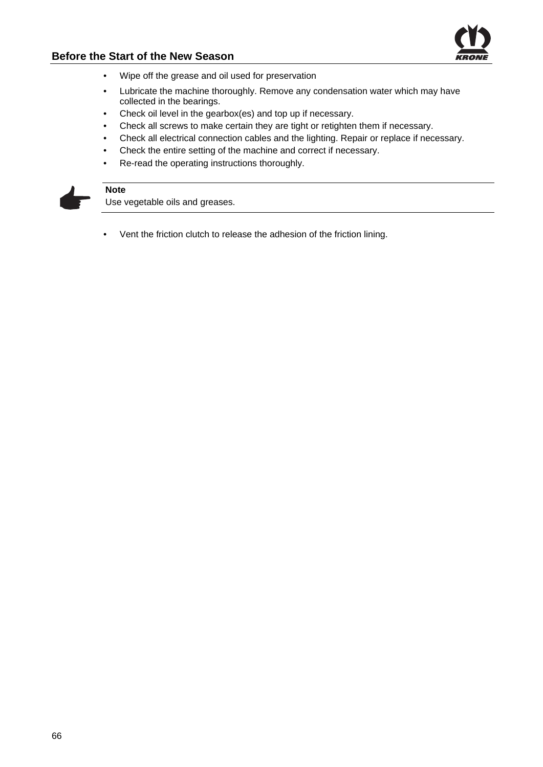

- Wipe off the grease and oil used for preservation
- Lubricate the machine thoroughly. Remove any condensation water which may have collected in the bearings.
- Check oil level in the gearbox(es) and top up if necessary.
- Check all screws to make certain they are tight or retighten them if necessary.
- Check all electrical connection cables and the lighting. Repair or replace if necessary.
- Check the entire setting of the machine and correct if necessary.
- Re-read the operating instructions thoroughly.



# **Note**

Use vegetable oils and greases.

• Vent the friction clutch to release the adhesion of the friction lining.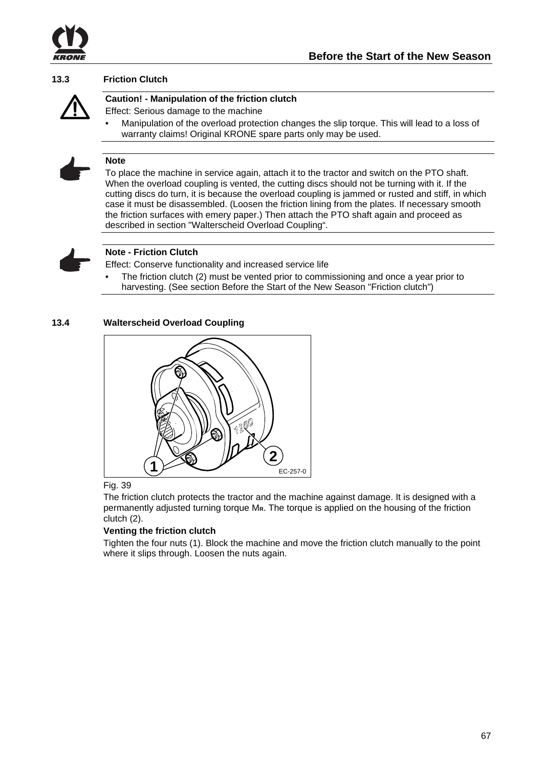

#### **13.3 Friction Clutch**



#### **Caution! - Manipulation of the friction clutch**

Effect: Serious damage to the machine

• Manipulation of the overload protection changes the slip torque. This will lead to a loss of warranty claims! Original KRONE spare parts only may be used.

### **Note**

To place the machine in service again, attach it to the tractor and switch on the PTO shaft. When the overload coupling is vented, the cutting discs should not be turning with it. If the cutting discs do turn, it is because the overload coupling is jammed or rusted and stiff, in which case it must be disassembled. (Loosen the friction lining from the plates. If necessary smooth the friction surfaces with emery paper.) Then attach the PTO shaft again and proceed as described in section "Walterscheid Overload Coupling".



#### **Note - Friction Clutch**

Effect: Conserve functionality and increased service life

• The friction clutch (2) must be vented prior to commissioning and once a year prior to harvesting. (See section Before the Start of the New Season "Friction clutch")

#### **13.4 Walterscheid Overload Coupling**



#### Fig. 39

The friction clutch protects the tractor and the machine against damage. It is designed with a permanently adjusted turning torque M**R**. The torque is applied on the housing of the friction clutch (2).

#### **Venting the friction clutch**

Tighten the four nuts (1). Block the machine and move the friction clutch manually to the point where it slips through. Loosen the nuts again.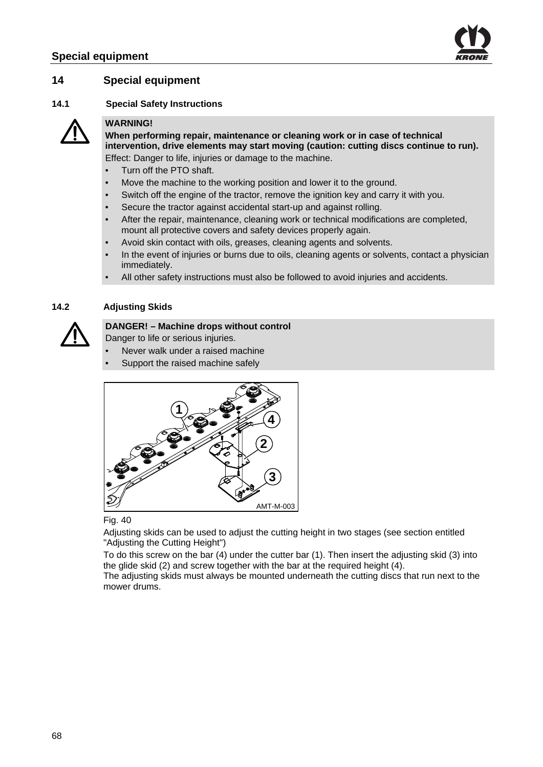

### **14 Special equipment**

#### **14.1 Special Safety Instructions**



#### **WARNING!**

**When performing repair, maintenance or cleaning work or in case of technical intervention, drive elements may start moving (caution: cutting discs continue to run).** 

Effect: Danger to life, injuries or damage to the machine.

- Turn off the PTO shaft.
- Move the machine to the working position and lower it to the ground.
- Switch off the engine of the tractor, remove the ignition key and carry it with you.
- Secure the tractor against accidental start-up and against rolling.
- After the repair, maintenance, cleaning work or technical modifications are completed, mount all protective covers and safety devices properly again.
- Avoid skin contact with oils, greases, cleaning agents and solvents.
- In the event of injuries or burns due to oils, cleaning agents or solvents, contact a physician immediately.
- All other safety instructions must also be followed to avoid injuries and accidents.

#### **14.2 Adjusting Skids**

#### **DANGER! – Machine drops without control**

Danger to life or serious injuries.

- Never walk under a raised machine
- Support the raised machine safely



#### Fig. 40

Adjusting skids can be used to adjust the cutting height in two stages (see section entitled "Adjusting the Cutting Height")

To do this screw on the bar (4) under the cutter bar (1). Then insert the adjusting skid (3) into the glide skid (2) and screw together with the bar at the required height (4).

The adjusting skids must always be mounted underneath the cutting discs that run next to the mower drums.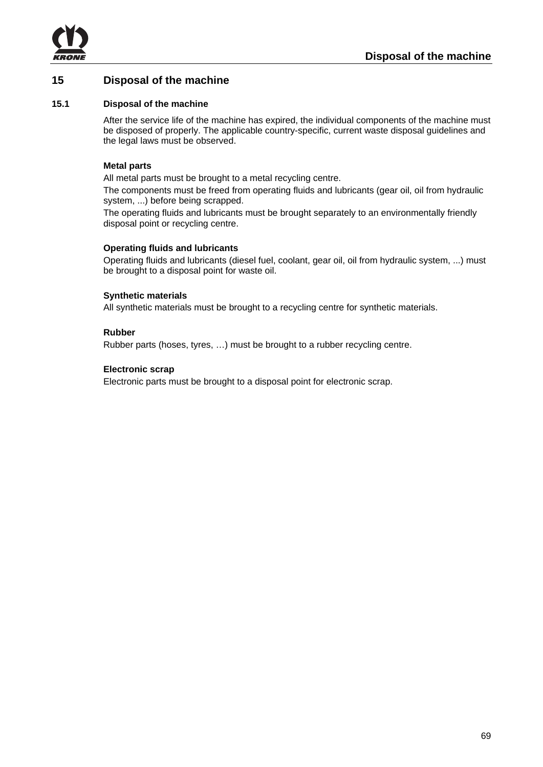

# **15 Disposal of the machine**

#### **15.1 Disposal of the machine**

After the service life of the machine has expired, the individual components of the machine must be disposed of properly. The applicable country-specific, current waste disposal guidelines and the legal laws must be observed.

#### **Metal parts**

All metal parts must be brought to a metal recycling centre.

The components must be freed from operating fluids and lubricants (gear oil, oil from hydraulic system, ...) before being scrapped.

The operating fluids and lubricants must be brought separately to an environmentally friendly disposal point or recycling centre.

#### **Operating fluids and lubricants**

Operating fluids and lubricants (diesel fuel, coolant, gear oil, oil from hydraulic system, ...) must be brought to a disposal point for waste oil.

#### **Synthetic materials**

All synthetic materials must be brought to a recycling centre for synthetic materials.

#### **Rubber**

Rubber parts (hoses, tyres, …) must be brought to a rubber recycling centre.

#### **Electronic scrap**

Electronic parts must be brought to a disposal point for electronic scrap.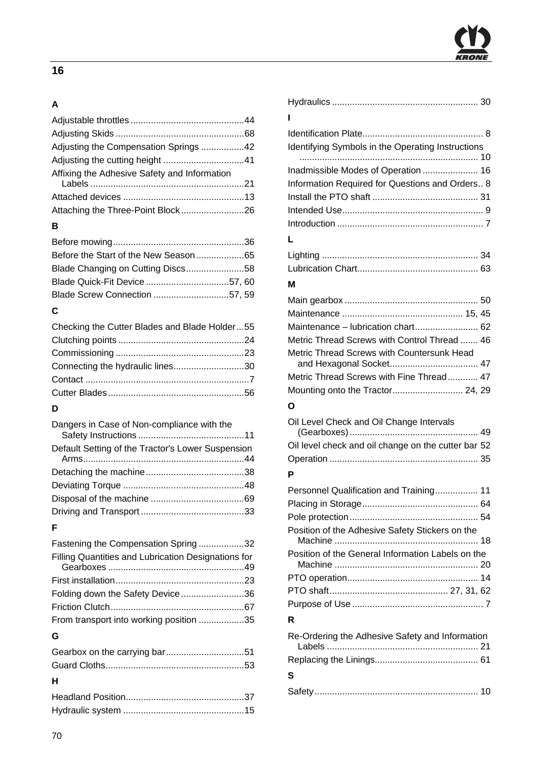# **16**

# **A**

| Adjusting the Compensation Springs 42        |  |
|----------------------------------------------|--|
|                                              |  |
| Affixing the Adhesive Safety and Information |  |
|                                              |  |
|                                              |  |
|                                              |  |

# **B**

| Before the Start of the New Season65 |  |
|--------------------------------------|--|
| Blade Changing on Cutting Discs58    |  |
|                                      |  |
| Blade Screw Connection 57, 59        |  |

# **C**

| Checking the Cutter Blades and Blade Holder55 |
|-----------------------------------------------|
|                                               |
|                                               |
| Connecting the hydraulic lines30              |
|                                               |
|                                               |
|                                               |

# **D**

| Dangers in Case of Non-compliance with the        |  |
|---------------------------------------------------|--|
| Default Setting of the Tractor's Lower Suspension |  |
|                                                   |  |
|                                                   |  |
|                                                   |  |
|                                                   |  |
|                                                   |  |

# **F**

| Fastening the Compensation Spring32                 |  |
|-----------------------------------------------------|--|
| Filling Quantities and Lubrication Designations for |  |
|                                                     |  |
|                                                     |  |
| Folding down the Safety Device36                    |  |
|                                                     |  |
| From transport into working position 35             |  |
| G                                                   |  |
|                                                     |  |
|                                                     |  |
| н                                                   |  |

| ı                                                                                                                                                                                                                |
|------------------------------------------------------------------------------------------------------------------------------------------------------------------------------------------------------------------|
| Identifying Symbols in the Operating Instructions                                                                                                                                                                |
| Inadmissible Modes of Operation  16<br>Information Required for Questions and Orders 8<br>L                                                                                                                      |
|                                                                                                                                                                                                                  |
| М                                                                                                                                                                                                                |
| Maintenance - lubrication chart 62<br>Metric Thread Screws with Control Thread  46<br>Metric Thread Screws with Countersunk Head<br>Metric Thread Screws with Fine Thread 47<br>Mounting onto the Tractor 24, 29 |
| Ο                                                                                                                                                                                                                |
| Oil Level Check and Oil Change Intervals<br>Oil level check and oil change on the cutter bar 52                                                                                                                  |
| Р                                                                                                                                                                                                                |
| Personnel Qualification and Training 11<br>Position of the Adhesive Safety Stickers on the                                                                                                                       |
| Position of the General Information Labels on the                                                                                                                                                                |
|                                                                                                                                                                                                                  |
| R                                                                                                                                                                                                                |
| Re-Ordering the Adhesive Safety and Information<br>S                                                                                                                                                             |
|                                                                                                                                                                                                                  |
|                                                                                                                                                                                                                  |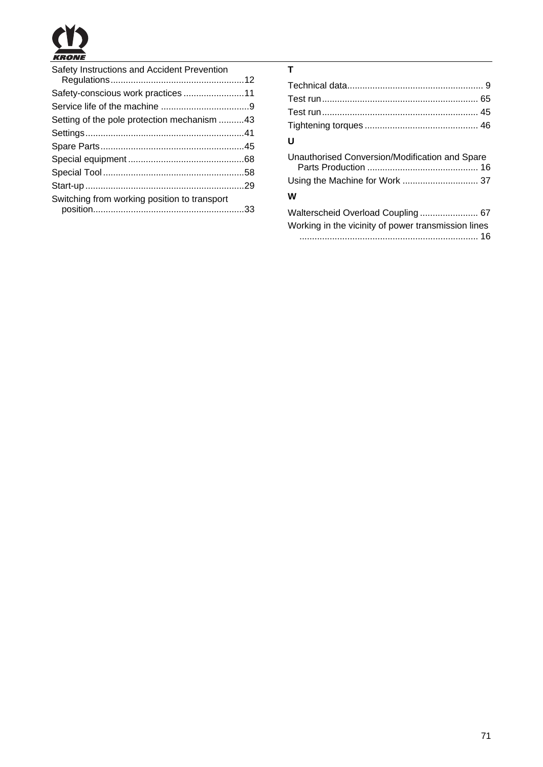

| Safety Instructions and Accident Prevention  |  |
|----------------------------------------------|--|
|                                              |  |
|                                              |  |
| Setting of the pole protection mechanism 43  |  |
|                                              |  |
|                                              |  |
|                                              |  |
|                                              |  |
|                                              |  |
| Switching from working position to transport |  |

| U                                                   |
|-----------------------------------------------------|
| Unauthorised Conversion/Modification and Spare      |
| Using the Machine for Work  37                      |
| w                                                   |
|                                                     |
| Working in the vicinity of power transmission lines |
|                                                     |